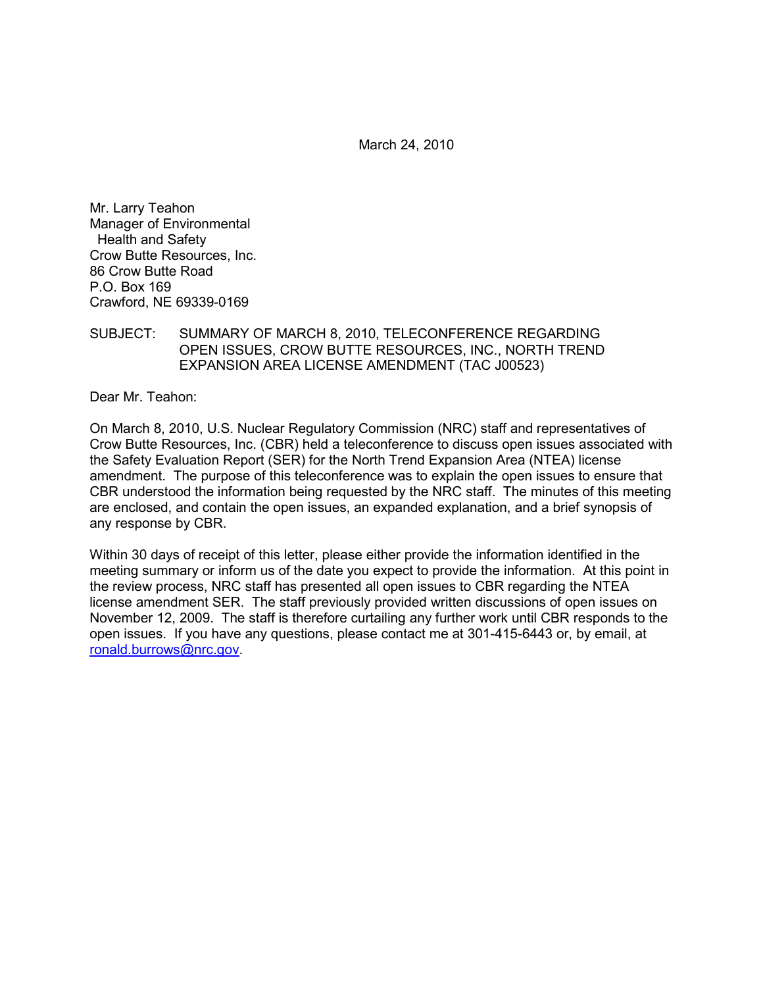March 24, 2010

Mr. Larry Teahon Manager of Environmental Health and Safety Crow Butte Resources, Inc. 86 Crow Butte Road P.O. Box 169 Crawford, NE 69339-0169

SUBJECT: SUMMARY OF MARCH 8, 2010, TELECONFERENCE REGARDING OPEN ISSUES, CROW BUTTE RESOURCES, INC., NORTH TREND EXPANSION AREA LICENSE AMENDMENT (TAC J00523)

Dear Mr. Teahon:

On March 8, 2010, U.S. Nuclear Regulatory Commission (NRC) staff and representatives of Crow Butte Resources, Inc. (CBR) held a teleconference to discuss open issues associated with the Safety Evaluation Report (SER) for the North Trend Expansion Area (NTEA) license amendment. The purpose of this teleconference was to explain the open issues to ensure that CBR understood the information being requested by the NRC staff. The minutes of this meeting are enclosed, and contain the open issues, an expanded explanation, and a brief synopsis of any response by CBR.

Within 30 days of receipt of this letter, please either provide the information identified in the meeting summary or inform us of the date you expect to provide the information. At this point in the review process, NRC staff has presented all open issues to CBR regarding the NTEA license amendment SER. The staff previously provided written discussions of open issues on November 12, 2009. The staff is therefore curtailing any further work until CBR responds to the open issues. If you have any questions, please contact me at 301-415-6443 or, by email, at ronald.burrows@nrc.gov.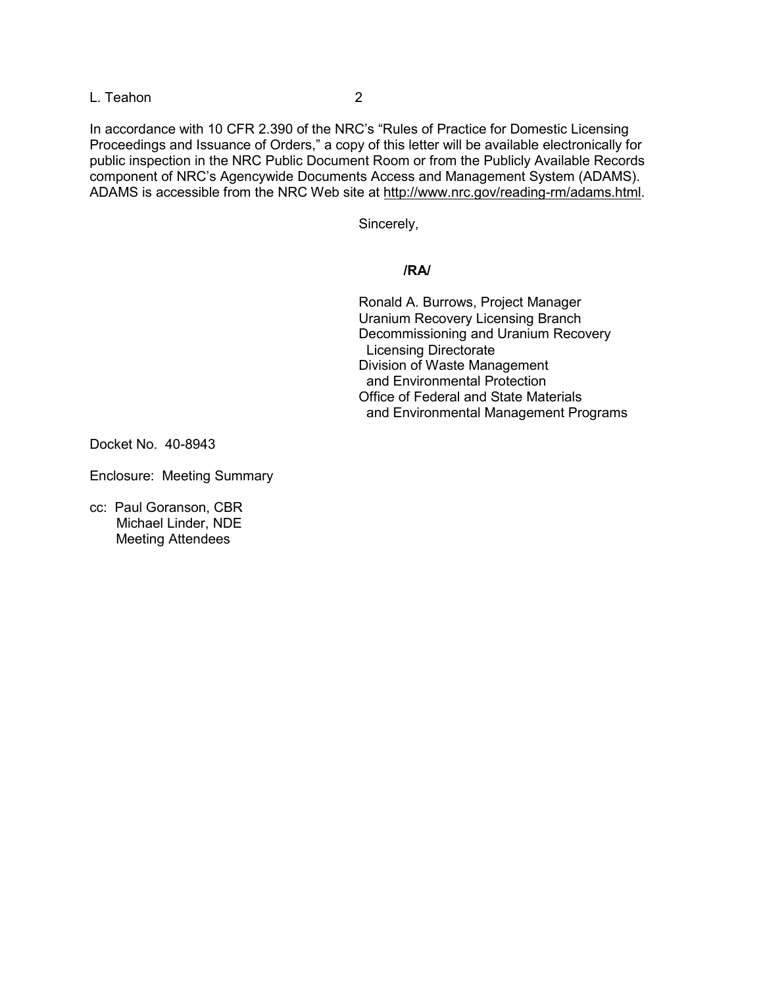L. Teahon 2

In accordance with 10 CFR 2.390 of the NRC's "Rules of Practice for Domestic Licensing Proceedings and Issuance of Orders," a copy of this letter will be available electronically for public inspection in the NRC Public Document Room or from the Publicly Available Records component of NRC's Agencywide Documents Access and Management System (ADAMS). ADAMS is accessible from the NRC Web site at http://www.nrc.gov/reading-rm/adams.html.

Sincerely,

#### **/RA/**

 Ronald A. Burrows, Project Manager Uranium Recovery Licensing Branch Decommissioning and Uranium Recovery Licensing Directorate Division of Waste Management and Environmental Protection Office of Federal and State Materials and Environmental Management Programs

Docket No. 40-8943

Enclosure: Meeting Summary

cc: Paul Goranson, CBR Michael Linder, NDE Meeting Attendees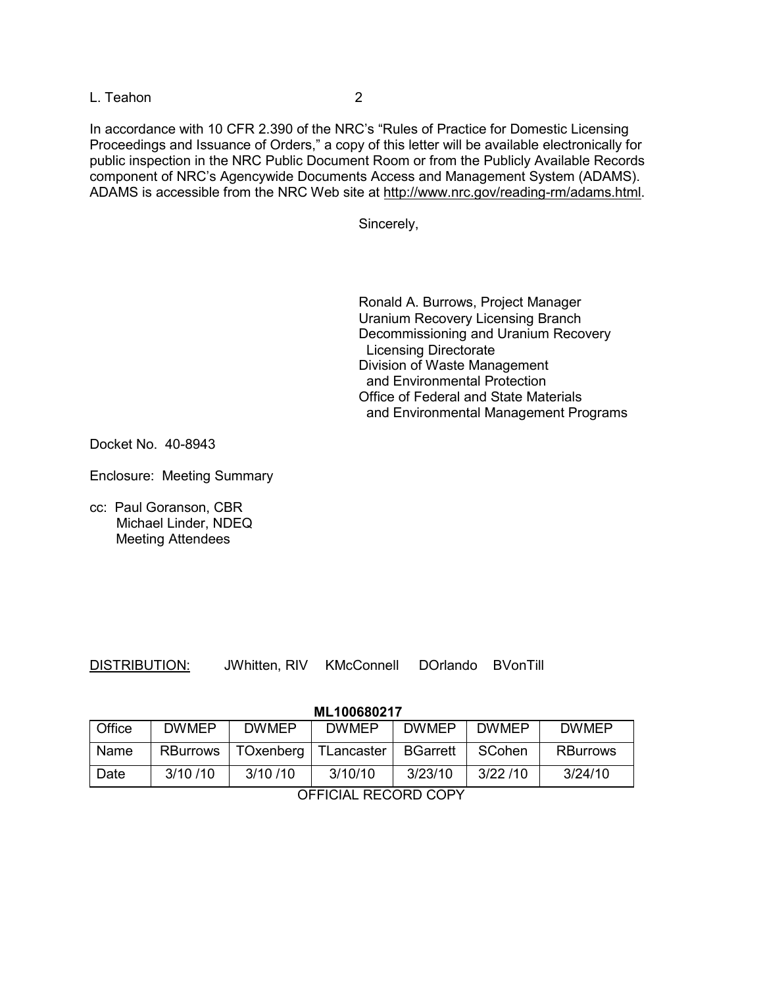L. Teahon 2

In accordance with 10 CFR 2.390 of the NRC's "Rules of Practice for Domestic Licensing Proceedings and Issuance of Orders," a copy of this letter will be available electronically for public inspection in the NRC Public Document Room or from the Publicly Available Records component of NRC's Agencywide Documents Access and Management System (ADAMS). ADAMS is accessible from the NRC Web site at http://www.nrc.gov/reading-rm/adams.html.

Sincerely,

 Ronald A. Burrows, Project Manager Uranium Recovery Licensing Branch Decommissioning and Uranium Recovery Licensing Directorate Division of Waste Management and Environmental Protection Office of Federal and State Materials and Environmental Management Programs

Docket No. 40-8943

Enclosure: Meeting Summary

cc: Paul Goranson, CBR Michael Linder, NDEQ Meeting Attendees

| <b>DISTRIBUTION:</b> |  |
|----------------------|--|
|                      |  |

JWhitten, RIV KMcConnell DOrlando BVonTill

**ML100680217** 

| Office               | <b>DWMEP</b>    | <b>DWMEP</b> | <b>DWMEP</b>           | <b>DWMEP</b>    | <b>DWMEP</b> | <b>DWMEP</b>    |
|----------------------|-----------------|--------------|------------------------|-----------------|--------------|-----------------|
| Name                 | <b>RBurrows</b> |              | TOxenberg   TLancaster | <b>BGarrett</b> | SCohen       | <b>RBurrows</b> |
| Date                 | 3/10/10         | 3/10/10      | 3/10/10                | 3/23/10         | 3/22/10      | 3/24/10         |
| AFFIAILL BEGABB CABY |                 |              |                        |                 |              |                 |

OFFICIAL RECORD COPY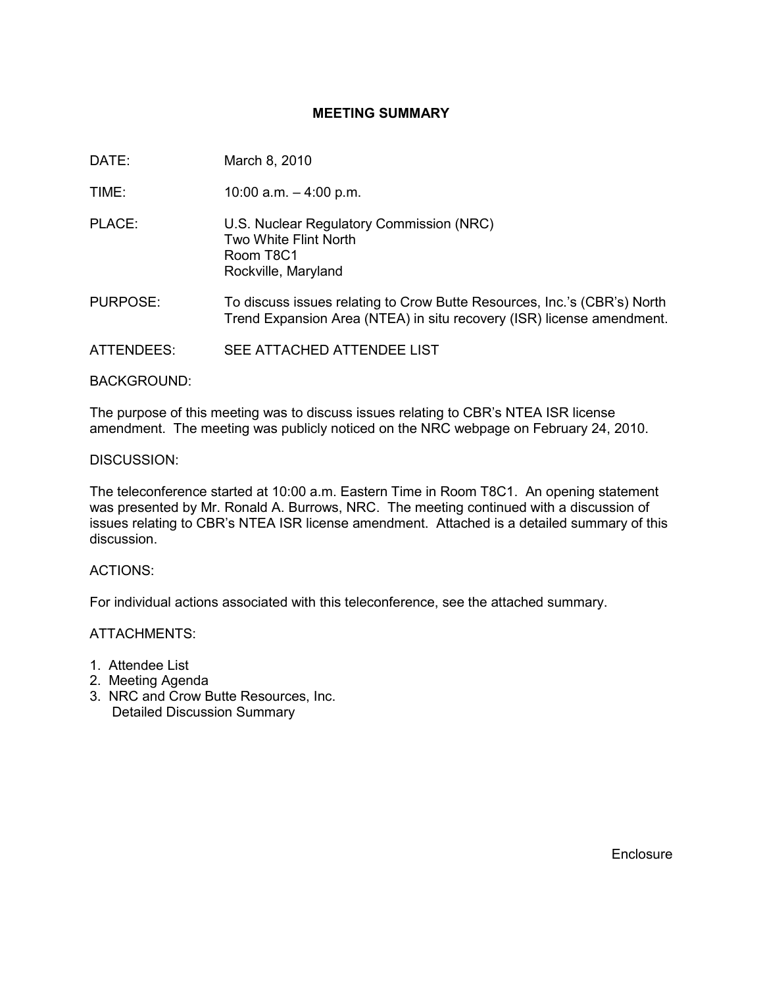# **MEETING SUMMARY**

DATE: March 8, 2010

TIME: 10:00 a.m. – 4:00 p.m.

PLACE: U.S. Nuclear Regulatory Commission (NRC) Two White Flint North Room T8C1 Rockville, Maryland

- PURPOSE: To discuss issues relating to Crow Butte Resources, Inc.'s (CBR's) North Trend Expansion Area (NTEA) in situ recovery (ISR) license amendment.
- ATTENDEES: SEE ATTACHED ATTENDEE LIST

BACKGROUND:

The purpose of this meeting was to discuss issues relating to CBR's NTEA ISR license amendment. The meeting was publicly noticed on the NRC webpage on February 24, 2010.

### DISCUSSION:

The teleconference started at 10:00 a.m. Eastern Time in Room T8C1. An opening statement was presented by Mr. Ronald A. Burrows, NRC. The meeting continued with a discussion of issues relating to CBR's NTEA ISR license amendment. Attached is a detailed summary of this discussion.

#### ACTIONS:

For individual actions associated with this teleconference, see the attached summary.

ATTACHMENTS:

- 1. Attendee List
- 2. Meeting Agenda
- 3. NRC and Crow Butte Resources, Inc. Detailed Discussion Summary

**Enclosure**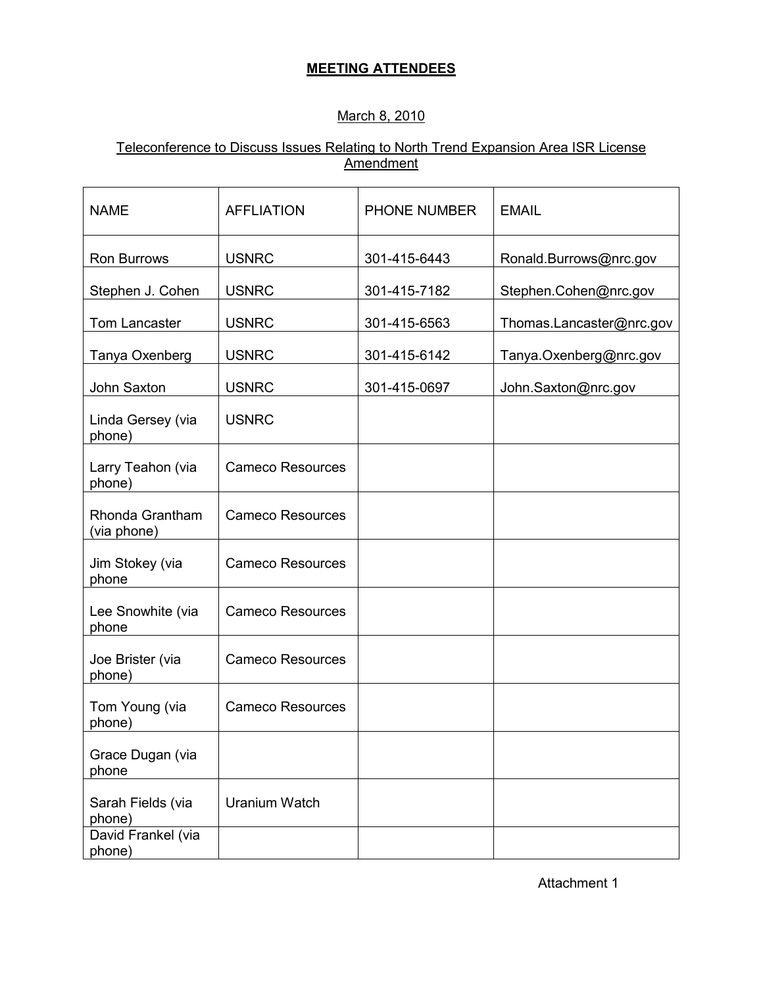# **MEETING ATTENDEES**

# March 8, 2010

# Teleconference to Discuss Issues Relating to North Trend Expansion Area ISR License **Amendment**

| <b>NAME</b>                    | <b>AFFLIATION</b>       | <b>PHONE NUMBER</b> | <b>EMAIL</b>             |
|--------------------------------|-------------------------|---------------------|--------------------------|
| Ron Burrows                    | <b>USNRC</b>            | 301-415-6443        | Ronald.Burrows@nrc.gov   |
| Stephen J. Cohen               | <b>USNRC</b>            | 301-415-7182        | Stephen.Cohen@nrc.gov    |
| Tom Lancaster                  | <b>USNRC</b>            | 301-415-6563        | Thomas.Lancaster@nrc.gov |
| Tanya Oxenberg                 | <b>USNRC</b>            | 301-415-6142        | Tanya.Oxenberg@nrc.gov   |
| John Saxton                    | <b>USNRC</b>            | 301-415-0697        | John.Saxton@nrc.gov      |
| Linda Gersey (via<br>phone)    | <b>USNRC</b>            |                     |                          |
| Larry Teahon (via<br>phone)    | <b>Cameco Resources</b> |                     |                          |
| Rhonda Grantham<br>(via phone) | <b>Cameco Resources</b> |                     |                          |
| Jim Stokey (via<br>phone       | <b>Cameco Resources</b> |                     |                          |
| Lee Snowhite (via<br>phone     | <b>Cameco Resources</b> |                     |                          |
| Joe Brister (via<br>phone)     | <b>Cameco Resources</b> |                     |                          |
| Tom Young (via<br>phone)       | <b>Cameco Resources</b> |                     |                          |
| Grace Dugan (via<br>phone      |                         |                     |                          |
| Sarah Fields (via<br>phone)    | <b>Uranium Watch</b>    |                     |                          |
| David Frankel (via<br>phone)   |                         |                     |                          |

Attachment 1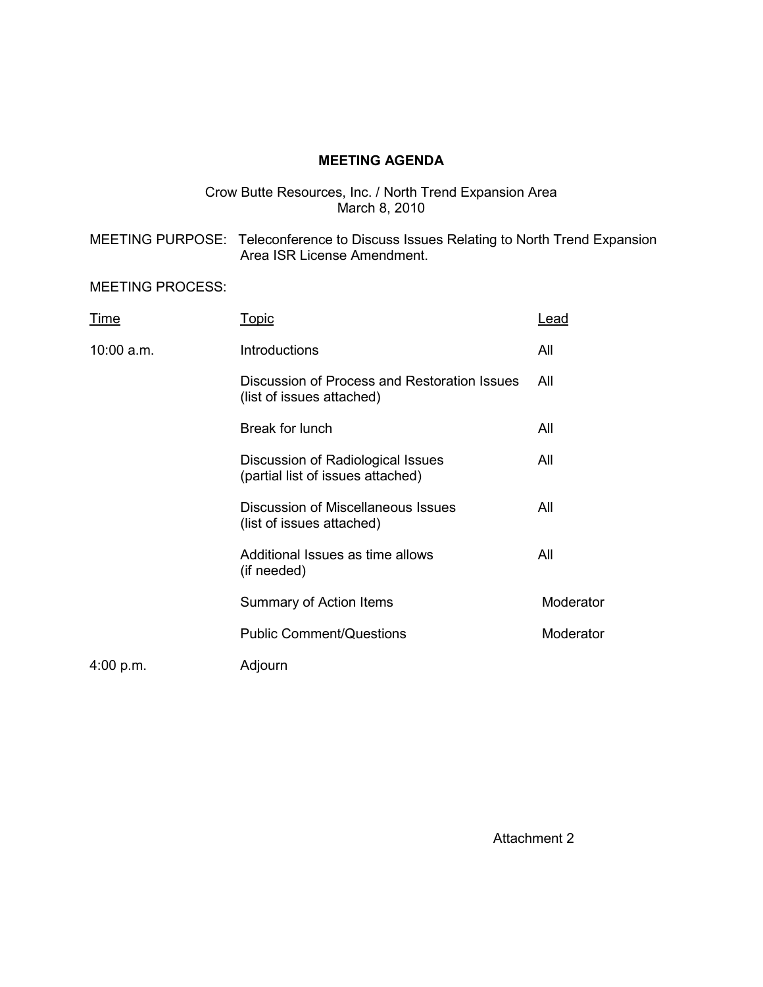# **MEETING AGENDA**

### Crow Butte Resources, Inc. / North Trend Expansion Area March 8, 2010

MEETING PURPOSE: Teleconference to Discuss Issues Relating to North Trend Expansion Area ISR License Amendment.

MEETING PROCESS:

| Time       | <u>Topic</u>                                                              | Lead      |
|------------|---------------------------------------------------------------------------|-----------|
| 10:00 a.m. | <b>Introductions</b>                                                      | All       |
|            | Discussion of Process and Restoration Issues<br>(list of issues attached) | All       |
|            | Break for lunch                                                           | All       |
|            | Discussion of Radiological Issues<br>(partial list of issues attached)    | All       |
|            | Discussion of Miscellaneous Issues<br>(list of issues attached)           | All       |
|            | Additional Issues as time allows<br>(if needed)                           | All       |
|            | Summary of Action Items                                                   | Moderator |
|            | <b>Public Comment/Questions</b>                                           | Moderator |
| 4:00 p.m.  | Adjourn                                                                   |           |

Attachment 2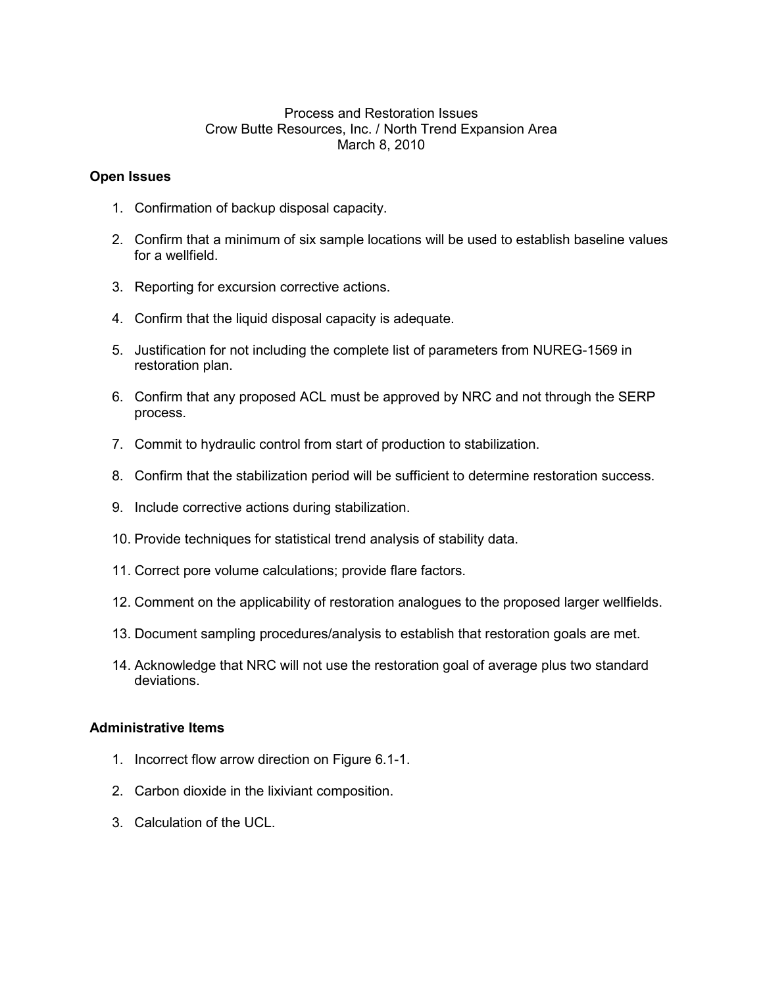## Process and Restoration Issues Crow Butte Resources, Inc. / North Trend Expansion Area March 8, 2010

### **Open Issues**

- 1. Confirmation of backup disposal capacity.
- 2. Confirm that a minimum of six sample locations will be used to establish baseline values for a wellfield.
- 3. Reporting for excursion corrective actions.
- 4. Confirm that the liquid disposal capacity is adequate.
- 5. Justification for not including the complete list of parameters from NUREG-1569 in restoration plan.
- 6. Confirm that any proposed ACL must be approved by NRC and not through the SERP process.
- 7. Commit to hydraulic control from start of production to stabilization.
- 8. Confirm that the stabilization period will be sufficient to determine restoration success.
- 9. Include corrective actions during stabilization.
- 10. Provide techniques for statistical trend analysis of stability data.
- 11. Correct pore volume calculations; provide flare factors.
- 12. Comment on the applicability of restoration analogues to the proposed larger wellfields.
- 13. Document sampling procedures/analysis to establish that restoration goals are met.
- 14. Acknowledge that NRC will not use the restoration goal of average plus two standard deviations.

#### **Administrative Items**

- 1. Incorrect flow arrow direction on Figure 6.1-1.
- 2. Carbon dioxide in the lixiviant composition.
- 3. Calculation of the UCL.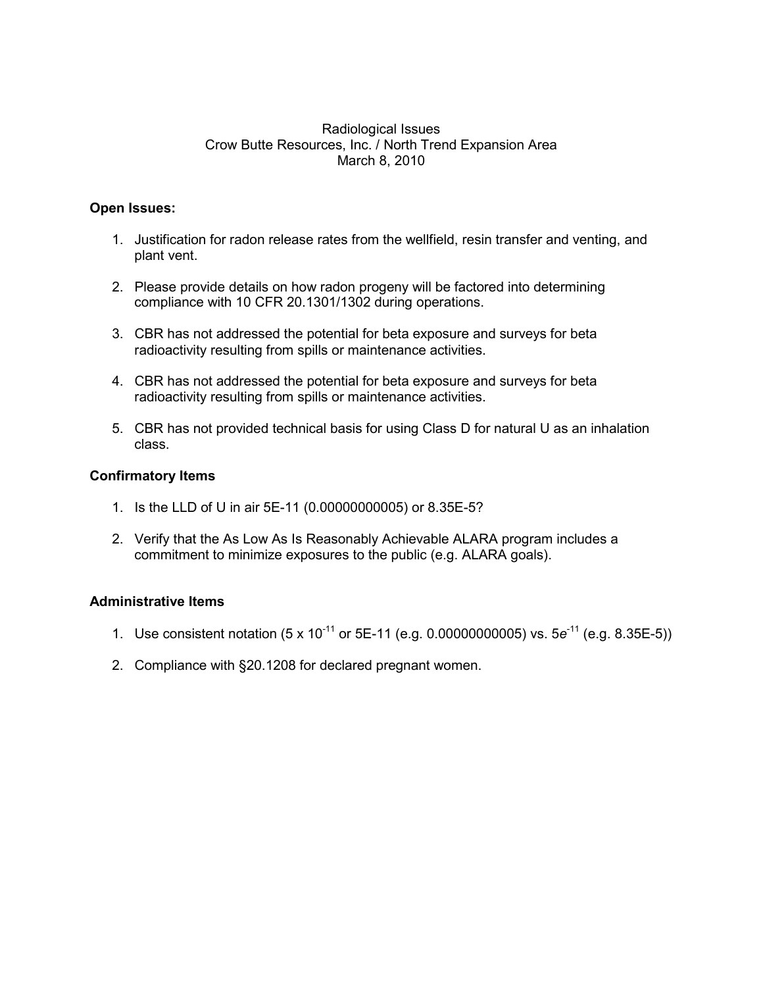### Radiological Issues Crow Butte Resources, Inc. / North Trend Expansion Area March 8, 2010

## **Open Issues:**

- 1. Justification for radon release rates from the wellfield, resin transfer and venting, and plant vent.
- 2. Please provide details on how radon progeny will be factored into determining compliance with 10 CFR 20.1301/1302 during operations.
- 3. CBR has not addressed the potential for beta exposure and surveys for beta radioactivity resulting from spills or maintenance activities.
- 4. CBR has not addressed the potential for beta exposure and surveys for beta radioactivity resulting from spills or maintenance activities.
- 5. CBR has not provided technical basis for using Class D for natural U as an inhalation class.

### **Confirmatory Items**

- 1. Is the LLD of U in air 5E-11 (0.00000000005) or 8.35E-5?
- 2. Verify that the As Low As Is Reasonably Achievable ALARA program includes a commitment to minimize exposures to the public (e.g. ALARA goals).

## **Administrative Items**

- 1. Use consistent notation (5 x 10-11 or 5E-11 (e.g. 0.00000000005) vs. 5*e*-11 (e.g. 8.35E-5))
- 2. Compliance with §20.1208 for declared pregnant women.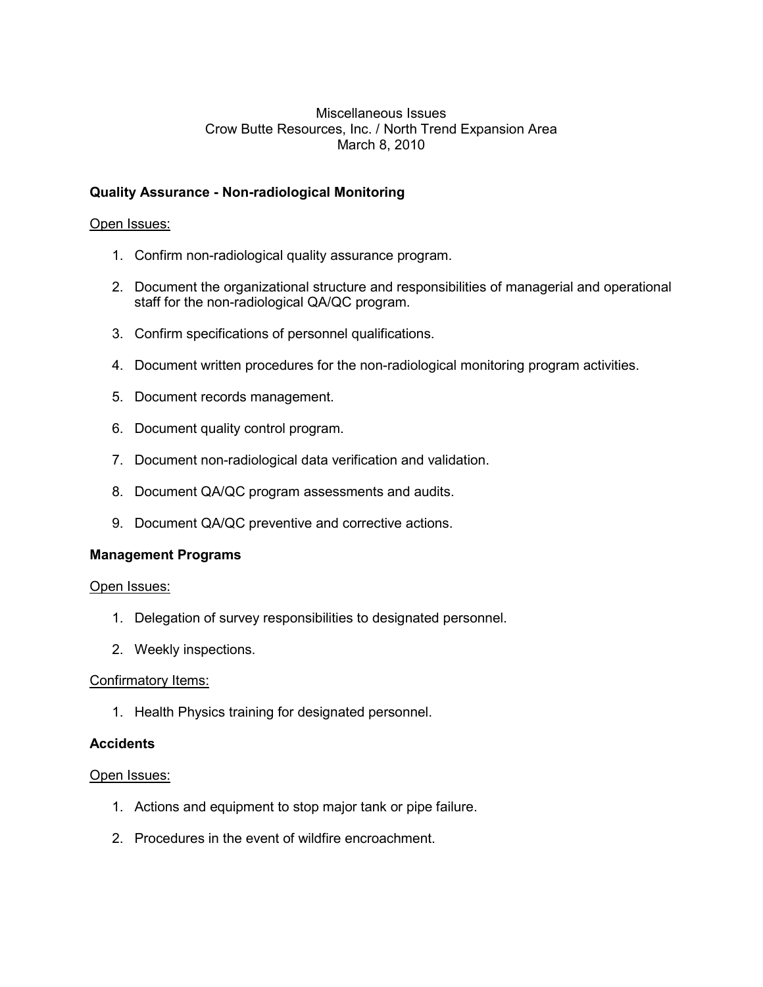# Miscellaneous Issues Crow Butte Resources, Inc. / North Trend Expansion Area March 8, 2010

# **Quality Assurance - Non-radiological Monitoring**

## Open Issues:

- 1. Confirm non-radiological quality assurance program.
- 2. Document the organizational structure and responsibilities of managerial and operational staff for the non-radiological QA/QC program.
- 3. Confirm specifications of personnel qualifications.
- 4. Document written procedures for the non-radiological monitoring program activities.
- 5. Document records management.
- 6. Document quality control program.
- 7. Document non-radiological data verification and validation.
- 8. Document QA/QC program assessments and audits.
- 9. Document QA/QC preventive and corrective actions.

#### **Management Programs**

#### Open Issues:

- 1. Delegation of survey responsibilities to designated personnel.
- 2. Weekly inspections.

#### Confirmatory Items:

1. Health Physics training for designated personnel.

#### **Accidents**

#### Open Issues:

- 1. Actions and equipment to stop major tank or pipe failure.
- 2. Procedures in the event of wildfire encroachment.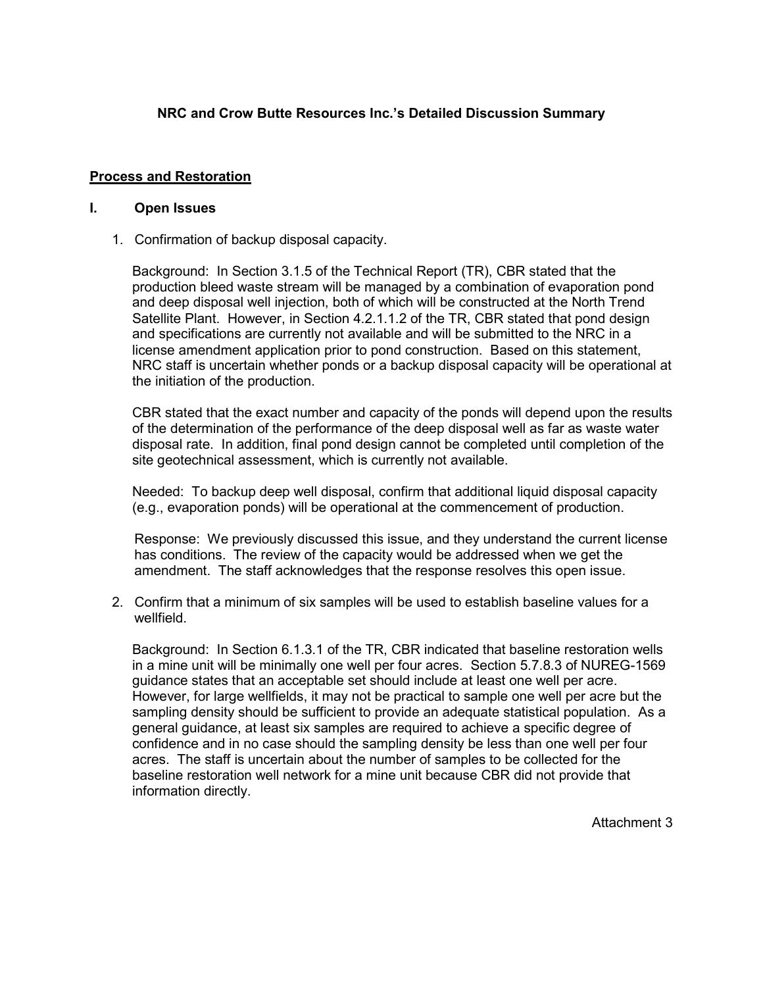# **NRC and Crow Butte Resources Inc.'s Detailed Discussion Summary**

### **Process and Restoration**

#### **I. Open Issues**

1. Confirmation of backup disposal capacity.

Background: In Section 3.1.5 of the Technical Report (TR), CBR stated that the production bleed waste stream will be managed by a combination of evaporation pond and deep disposal well injection, both of which will be constructed at the North Trend Satellite Plant. However, in Section 4.2.1.1.2 of the TR, CBR stated that pond design and specifications are currently not available and will be submitted to the NRC in a license amendment application prior to pond construction. Based on this statement, NRC staff is uncertain whether ponds or a backup disposal capacity will be operational at the initiation of the production.

CBR stated that the exact number and capacity of the ponds will depend upon the results of the determination of the performance of the deep disposal well as far as waste water disposal rate. In addition, final pond design cannot be completed until completion of the site geotechnical assessment, which is currently not available.

Needed: To backup deep well disposal, confirm that additional liquid disposal capacity (e.g., evaporation ponds) will be operational at the commencement of production.

 Response: We previously discussed this issue, and they understand the current license has conditions. The review of the capacity would be addressed when we get the amendment. The staff acknowledges that the response resolves this open issue.

2. Confirm that a minimum of six samples will be used to establish baseline values for a wellfield.

Background: In Section 6.1.3.1 of the TR, CBR indicated that baseline restoration wells in a mine unit will be minimally one well per four acres. Section 5.7.8.3 of NUREG-1569 guidance states that an acceptable set should include at least one well per acre. However, for large wellfields, it may not be practical to sample one well per acre but the sampling density should be sufficient to provide an adequate statistical population. As a general guidance, at least six samples are required to achieve a specific degree of confidence and in no case should the sampling density be less than one well per four acres. The staff is uncertain about the number of samples to be collected for the baseline restoration well network for a mine unit because CBR did not provide that information directly.

Attachment 3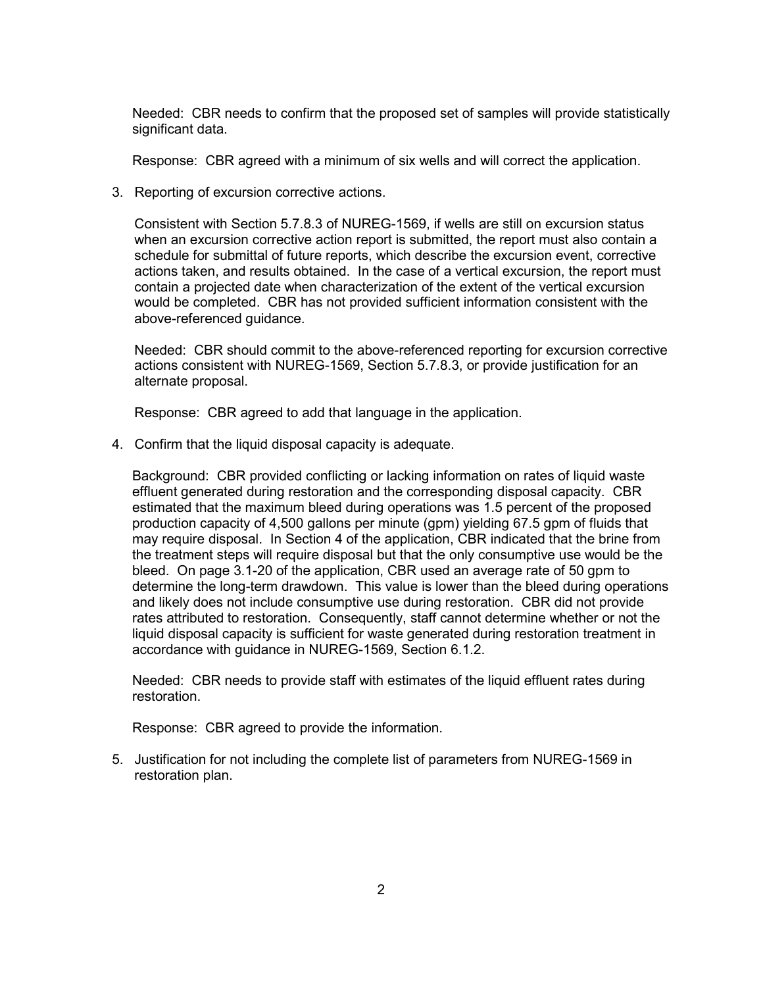Needed: CBR needs to confirm that the proposed set of samples will provide statistically significant data.

Response: CBR agreed with a minimum of six wells and will correct the application.

3. Reporting of excursion corrective actions.

Consistent with Section 5.7.8.3 of NUREG-1569, if wells are still on excursion status when an excursion corrective action report is submitted, the report must also contain a schedule for submittal of future reports, which describe the excursion event, corrective actions taken, and results obtained. In the case of a vertical excursion, the report must contain a projected date when characterization of the extent of the vertical excursion would be completed. CBR has not provided sufficient information consistent with the above-referenced guidance.

Needed: CBR should commit to the above-referenced reporting for excursion corrective actions consistent with NUREG-1569, Section 5.7.8.3, or provide justification for an alternate proposal.

Response: CBR agreed to add that language in the application.

4. Confirm that the liquid disposal capacity is adequate.

Background: CBR provided conflicting or lacking information on rates of liquid waste effluent generated during restoration and the corresponding disposal capacity. CBR estimated that the maximum bleed during operations was 1.5 percent of the proposed production capacity of 4,500 gallons per minute (gpm) yielding 67.5 gpm of fluids that may require disposal. In Section 4 of the application, CBR indicated that the brine from the treatment steps will require disposal but that the only consumptive use would be the bleed. On page 3.1-20 of the application, CBR used an average rate of 50 gpm to determine the long-term drawdown. This value is lower than the bleed during operations and likely does not include consumptive use during restoration. CBR did not provide rates attributed to restoration. Consequently, staff cannot determine whether or not the liquid disposal capacity is sufficient for waste generated during restoration treatment in accordance with guidance in NUREG-1569, Section 6.1.2.

Needed: CBR needs to provide staff with estimates of the liquid effluent rates during restoration.

Response: CBR agreed to provide the information.

5. Justification for not including the complete list of parameters from NUREG-1569 in restoration plan.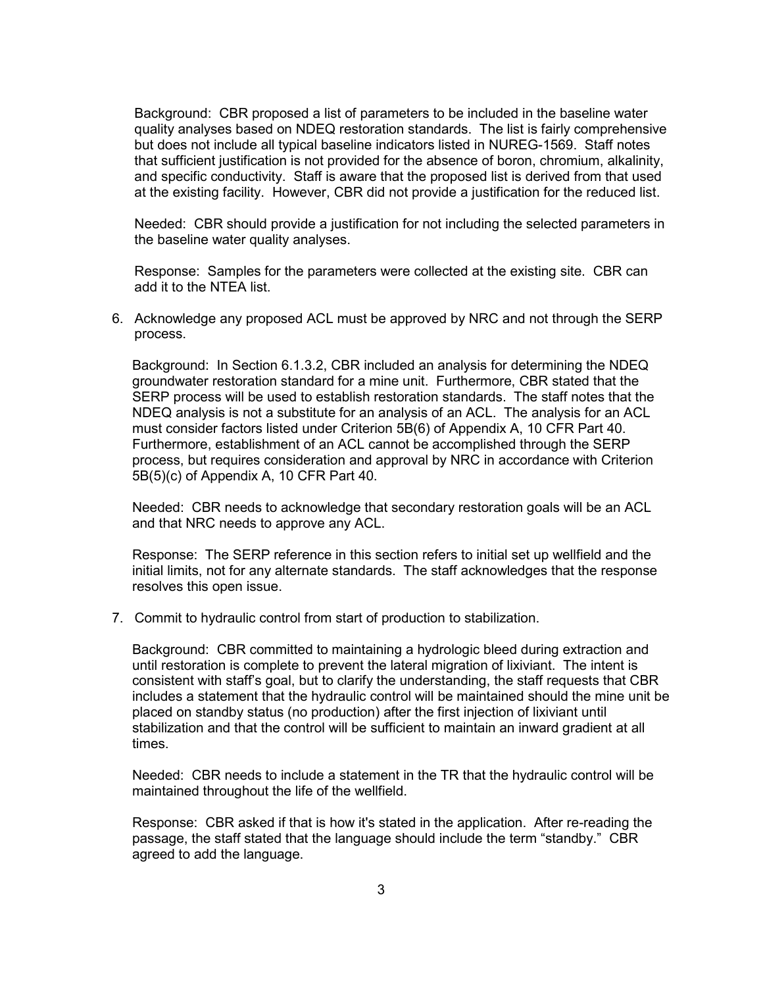Background:CBR proposed a list of parameters to be included in the baseline water quality analyses based on NDEQ restoration standards. The list is fairly comprehensive but does not include all typical baseline indicators listed in NUREG-1569. Staff notes that sufficient justification is not provided for the absence of boron, chromium, alkalinity, and specific conductivity. Staff is aware that the proposed list is derived from that used at the existing facility. However, CBR did not provide a justification for the reduced list.

Needed: CBR should provide a justification for not including the selected parameters in the baseline water quality analyses.

 Response: Samples for the parameters were collected at the existing site. CBR can add it to the NTEA list.

6. Acknowledge any proposed ACL must be approved by NRC and not through the SERP process.

Background: In Section 6.1.3.2, CBR included an analysis for determining the NDEQ groundwater restoration standard for a mine unit. Furthermore, CBR stated that the SERP process will be used to establish restoration standards. The staff notes that the NDEQ analysis is not a substitute for an analysis of an ACL. The analysis for an ACL must consider factors listed under Criterion 5B(6) of Appendix A, 10 CFR Part 40. Furthermore, establishment of an ACL cannot be accomplished through the SERP process, but requires consideration and approval by NRC in accordance with Criterion 5B(5)(c) of Appendix A, 10 CFR Part 40.

Needed: CBR needs to acknowledge that secondary restoration goals will be an ACL and that NRC needs to approve any ACL.

Response: The SERP reference in this section refers to initial set up wellfield and the initial limits, not for any alternate standards. The staff acknowledges that the response resolves this open issue.

7. Commit to hydraulic control from start of production to stabilization.

Background: CBR committed to maintaining a hydrologic bleed during extraction and until restoration is complete to prevent the lateral migration of lixiviant. The intent is consistent with staff's goal, but to clarify the understanding, the staff requests that CBR includes a statement that the hydraulic control will be maintained should the mine unit be placed on standby status (no production) after the first injection of lixiviant until stabilization and that the control will be sufficient to maintain an inward gradient at all times.

Needed: CBR needs to include a statement in the TR that the hydraulic control will be maintained throughout the life of the wellfield.

Response: CBR asked if that is how it's stated in the application. After re-reading the passage, the staff stated that the language should include the term "standby." CBR agreed to add the language.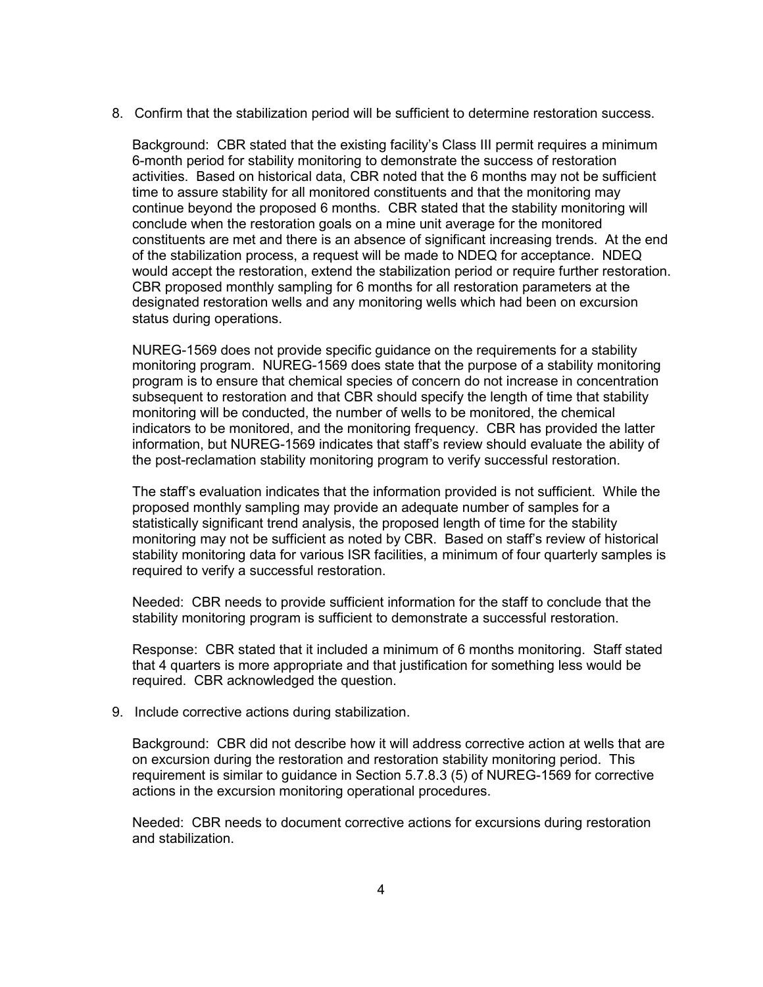8. Confirm that the stabilization period will be sufficient to determine restoration success.

Background: CBR stated that the existing facility's Class III permit requires a minimum 6-month period for stability monitoring to demonstrate the success of restoration activities. Based on historical data, CBR noted that the 6 months may not be sufficient time to assure stability for all monitored constituents and that the monitoring may continue beyond the proposed 6 months. CBR stated that the stability monitoring will conclude when the restoration goals on a mine unit average for the monitored constituents are met and there is an absence of significant increasing trends. At the end of the stabilization process, a request will be made to NDEQ for acceptance. NDEQ would accept the restoration, extend the stabilization period or require further restoration. CBR proposed monthly sampling for 6 months for all restoration parameters at the designated restoration wells and any monitoring wells which had been on excursion status during operations.

NUREG-1569 does not provide specific guidance on the requirements for a stability monitoring program. NUREG-1569 does state that the purpose of a stability monitoring program is to ensure that chemical species of concern do not increase in concentration subsequent to restoration and that CBR should specify the length of time that stability monitoring will be conducted, the number of wells to be monitored, the chemical indicators to be monitored, and the monitoring frequency. CBR has provided the latter information, but NUREG-1569 indicates that staff's review should evaluate the ability of the post-reclamation stability monitoring program to verify successful restoration.

The staff's evaluation indicates that the information provided is not sufficient. While the proposed monthly sampling may provide an adequate number of samples for a statistically significant trend analysis, the proposed length of time for the stability monitoring may not be sufficient as noted by CBR. Based on staff's review of historical stability monitoring data for various ISR facilities, a minimum of four quarterly samples is required to verify a successful restoration.

Needed: CBR needs to provide sufficient information for the staff to conclude that the stability monitoring program is sufficient to demonstrate a successful restoration.

Response: CBR stated that it included a minimum of 6 months monitoring. Staff stated that 4 quarters is more appropriate and that justification for something less would be required. CBR acknowledged the question.

9. Include corrective actions during stabilization.

Background: CBR did not describe how it will address corrective action at wells that are on excursion during the restoration and restoration stability monitoring period. This requirement is similar to guidance in Section 5.7.8.3 (5) of NUREG-1569 for corrective actions in the excursion monitoring operational procedures.

Needed: CBR needs to document corrective actions for excursions during restoration and stabilization.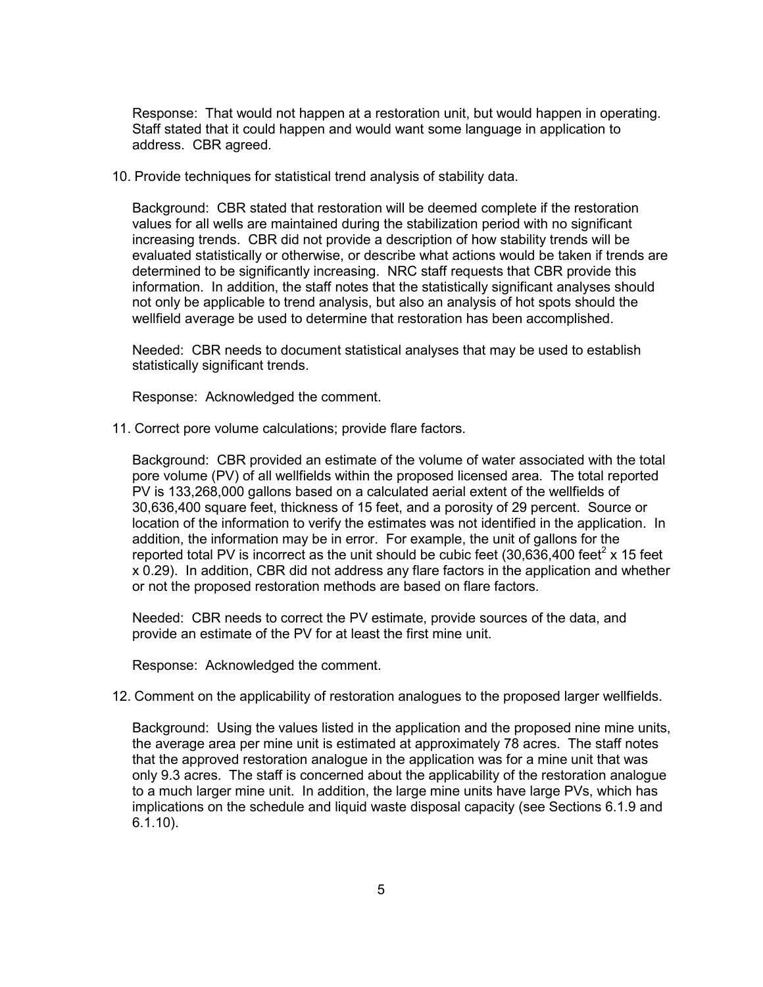Response: That would not happen at a restoration unit, but would happen in operating. Staff stated that it could happen and would want some language in application to address. CBR agreed.

10. Provide techniques for statistical trend analysis of stability data.

Background: CBR stated that restoration will be deemed complete if the restoration values for all wells are maintained during the stabilization period with no significant increasing trends. CBR did not provide a description of how stability trends will be evaluated statistically or otherwise, or describe what actions would be taken if trends are determined to be significantly increasing. NRC staff requests that CBR provide this information. In addition, the staff notes that the statistically significant analyses should not only be applicable to trend analysis, but also an analysis of hot spots should the wellfield average be used to determine that restoration has been accomplished.

Needed: CBR needs to document statistical analyses that may be used to establish statistically significant trends.

Response: Acknowledged the comment.

11. Correct pore volume calculations; provide flare factors.

Background: CBR provided an estimate of the volume of water associated with the total pore volume (PV) of all wellfields within the proposed licensed area. The total reported PV is 133,268,000 gallons based on a calculated aerial extent of the wellfields of 30,636,400 square feet, thickness of 15 feet, and a porosity of 29 percent. Source or location of the information to verify the estimates was not identified in the application. In addition, the information may be in error. For example, the unit of gallons for the reported total PV is incorrect as the unit should be cubic feet (30,636,400 feet<sup>2</sup> x 15 feet x 0.29). In addition, CBR did not address any flare factors in the application and whether or not the proposed restoration methods are based on flare factors.

Needed: CBR needs to correct the PV estimate, provide sources of the data, and provide an estimate of the PV for at least the first mine unit.

Response: Acknowledged the comment.

#### 12. Comment on the applicability of restoration analogues to the proposed larger wellfields.

Background: Using the values listed in the application and the proposed nine mine units, the average area per mine unit is estimated at approximately 78 acres. The staff notes that the approved restoration analogue in the application was for a mine unit that was only 9.3 acres. The staff is concerned about the applicability of the restoration analogue to a much larger mine unit. In addition, the large mine units have large PVs, which has implications on the schedule and liquid waste disposal capacity (see Sections 6.1.9 and 6.1.10).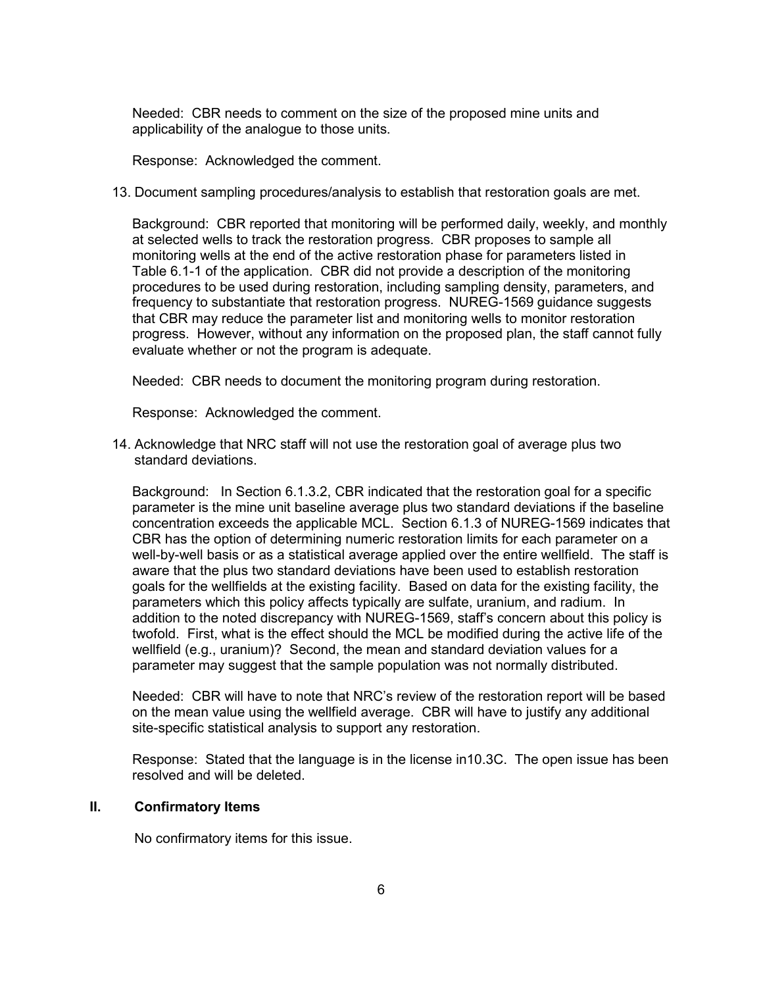Needed: CBR needs to comment on the size of the proposed mine units and applicability of the analogue to those units.

Response: Acknowledged the comment.

13. Document sampling procedures/analysis to establish that restoration goals are met.

Background: CBR reported that monitoring will be performed daily, weekly, and monthly at selected wells to track the restoration progress. CBR proposes to sample all monitoring wells at the end of the active restoration phase for parameters listed in Table 6.1-1 of the application. CBR did not provide a description of the monitoring procedures to be used during restoration, including sampling density, parameters, and frequency to substantiate that restoration progress. NUREG-1569 guidance suggests that CBR may reduce the parameter list and monitoring wells to monitor restoration progress. However, without any information on the proposed plan, the staff cannot fully evaluate whether or not the program is adequate.

Needed: CBR needs to document the monitoring program during restoration.

Response: Acknowledged the comment.

14. Acknowledge that NRC staff will not use the restoration goal of average plus two standard deviations.

Background: In Section 6.1.3.2, CBR indicated that the restoration goal for a specific parameter is the mine unit baseline average plus two standard deviations if the baseline concentration exceeds the applicable MCL. Section 6.1.3 of NUREG-1569 indicates that CBR has the option of determining numeric restoration limits for each parameter on a well-by-well basis or as a statistical average applied over the entire wellfield. The staff is aware that the plus two standard deviations have been used to establish restoration goals for the wellfields at the existing facility. Based on data for the existing facility, the parameters which this policy affects typically are sulfate, uranium, and radium. In addition to the noted discrepancy with NUREG-1569, staff's concern about this policy is twofold. First, what is the effect should the MCL be modified during the active life of the wellfield (e.g., uranium)? Second, the mean and standard deviation values for a parameter may suggest that the sample population was not normally distributed.

Needed: CBR will have to note that NRC's review of the restoration report will be based on the mean value using the wellfield average. CBR will have to justify any additional site-specific statistical analysis to support any restoration.

Response: Stated that the language is in the license in10.3C. The open issue has been resolved and will be deleted.

#### **II. Confirmatory Items**

No confirmatory items for this issue.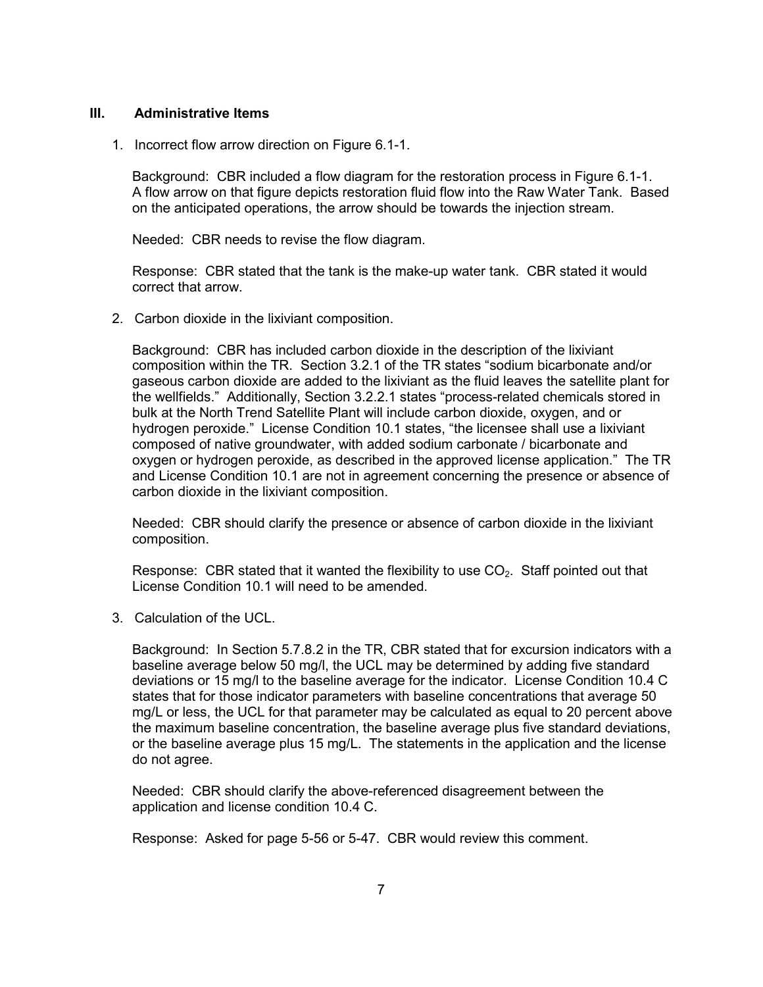#### **III. Administrative Items**

1. Incorrect flow arrow direction on Figure 6.1-1.

Background: CBR included a flow diagram for the restoration process in Figure 6.1-1. A flow arrow on that figure depicts restoration fluid flow into the Raw Water Tank. Based on the anticipated operations, the arrow should be towards the injection stream.

Needed: CBR needs to revise the flow diagram.

Response: CBR stated that the tank is the make-up water tank. CBR stated it would correct that arrow.

2. Carbon dioxide in the lixiviant composition.

Background: CBR has included carbon dioxide in the description of the lixiviant composition within the TR. Section 3.2.1 of the TR states "sodium bicarbonate and/or gaseous carbon dioxide are added to the lixiviant as the fluid leaves the satellite plant for the wellfields." Additionally, Section 3.2.2.1 states "process-related chemicals stored in bulk at the North Trend Satellite Plant will include carbon dioxide, oxygen, and or hydrogen peroxide." License Condition 10.1 states, "the licensee shall use a lixiviant composed of native groundwater, with added sodium carbonate / bicarbonate and oxygen or hydrogen peroxide, as described in the approved license application." The TR and License Condition 10.1 are not in agreement concerning the presence or absence of carbon dioxide in the lixiviant composition.

Needed: CBR should clarify the presence or absence of carbon dioxide in the lixiviant composition.

Response: CBR stated that it wanted the flexibility to use  $CO<sub>2</sub>$ . Staff pointed out that License Condition 10.1 will need to be amended.

3. Calculation of the UCL.

Background: In Section 5.7.8.2 in the TR, CBR stated that for excursion indicators with a baseline average below 50 mg/l, the UCL may be determined by adding five standard deviations or 15 mg/l to the baseline average for the indicator. License Condition 10.4 C states that for those indicator parameters with baseline concentrations that average 50 mg/L or less, the UCL for that parameter may be calculated as equal to 20 percent above the maximum baseline concentration, the baseline average plus five standard deviations, or the baseline average plus 15 mg/L. The statements in the application and the license do not agree.

Needed: CBR should clarify the above-referenced disagreement between the application and license condition 10.4 C.

Response: Asked for page 5-56 or 5-47. CBR would review this comment.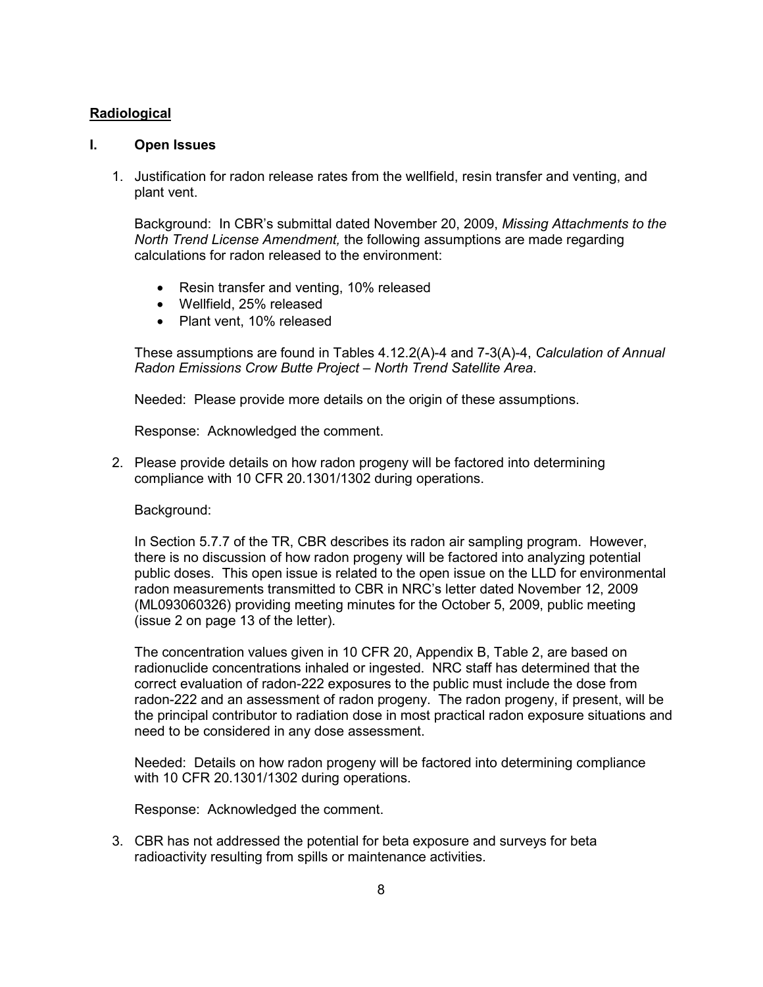## **Radiological**

#### **I. Open Issues**

1. Justification for radon release rates from the wellfield, resin transfer and venting, and plant vent.

Background: In CBR's submittal dated November 20, 2009, *Missing Attachments to the North Trend License Amendment,* the following assumptions are made regarding calculations for radon released to the environment:

- Resin transfer and venting, 10% released
- Wellfield, 25% released
- Plant vent, 10% released

 These assumptions are found in Tables 4.12.2(A)-4 and 7-3(A)-4, *Calculation of Annual Radon Emissions Crow Butte Project – North Trend Satellite Area*.

Needed: Please provide more details on the origin of these assumptions.

Response: Acknowledged the comment.

2. Please provide details on how radon progeny will be factored into determining compliance with 10 CFR 20.1301/1302 during operations.

Background:

In Section 5.7.7 of the TR, CBR describes its radon air sampling program. However, there is no discussion of how radon progeny will be factored into analyzing potential public doses. This open issue is related to the open issue on the LLD for environmental radon measurements transmitted to CBR in NRC's letter dated November 12, 2009 (ML093060326) providing meeting minutes for the October 5, 2009, public meeting (issue 2 on page 13 of the letter).

The concentration values given in 10 CFR 20, Appendix B, Table 2, are based on radionuclide concentrations inhaled or ingested. NRC staff has determined that the correct evaluation of radon-222 exposures to the public must include the dose from radon-222 and an assessment of radon progeny. The radon progeny, if present, will be the principal contributor to radiation dose in most practical radon exposure situations and need to be considered in any dose assessment.

Needed: Details on how radon progeny will be factored into determining compliance with 10 CFR 20.1301/1302 during operations.

Response: Acknowledged the comment.

3. CBR has not addressed the potential for beta exposure and surveys for beta radioactivity resulting from spills or maintenance activities.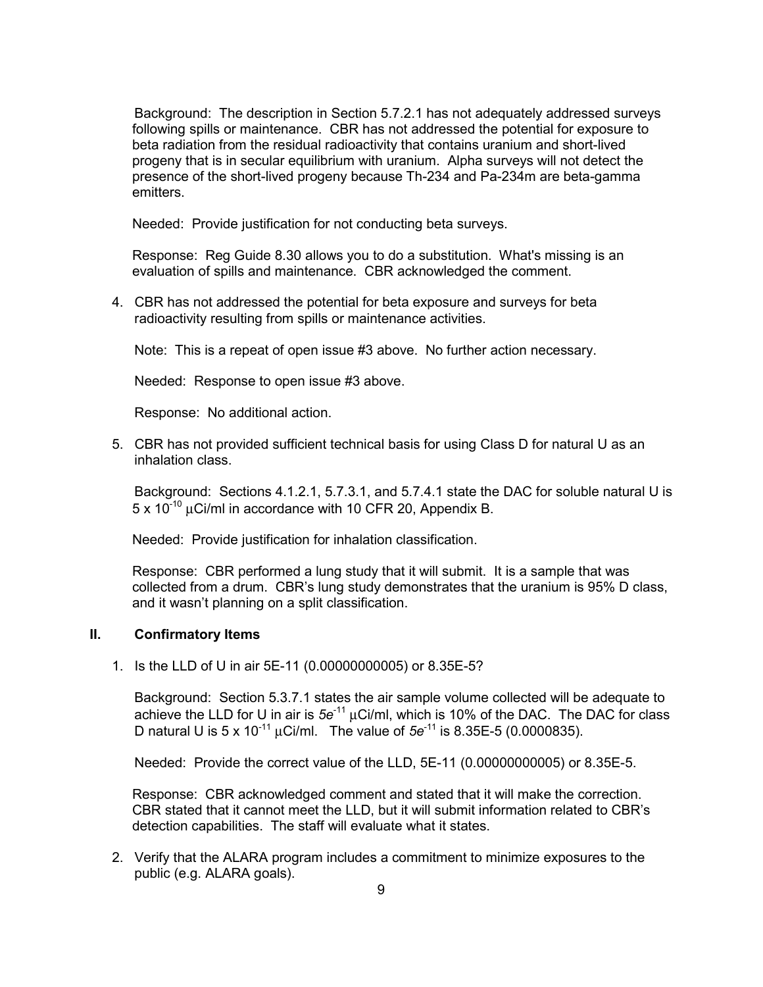Background: The description in Section 5.7.2.1 has not adequately addressed surveys following spills or maintenance. CBR has not addressed the potential for exposure to beta radiation from the residual radioactivity that contains uranium and short-lived progeny that is in secular equilibrium with uranium. Alpha surveys will not detect the presence of the short-lived progeny because Th-234 and Pa-234m are beta-gamma emitters.

Needed: Provide justification for not conducting beta surveys.

Response: Reg Guide 8.30 allows you to do a substitution. What's missing is an evaluation of spills and maintenance. CBR acknowledged the comment.

4. CBR has not addressed the potential for beta exposure and surveys for beta radioactivity resulting from spills or maintenance activities.

Note: This is a repeat of open issue #3 above. No further action necessary.

Needed: Response to open issue #3 above.

Response: No additional action.

5. CBR has not provided sufficient technical basis for using Class D for natural U as an inhalation class.

 Background: Sections 4.1.2.1, 5.7.3.1, and 5.7.4.1 state the DAC for soluble natural U is  $5 \times 10^{-10}$  µCi/ml in accordance with 10 CFR 20, Appendix B.

Needed: Provide justification for inhalation classification.

Response: CBR performed a lung study that it will submit. It is a sample that was collected from a drum. CBR's lung study demonstrates that the uranium is 95% D class, and it wasn't planning on a split classification.

#### **II. Confirmatory Items**

1. Is the LLD of U in air 5E-11 (0.00000000005) or 8.35E-5?

 Background: Section 5.3.7.1 states the air sample volume collected will be adequate to achieve the LLD for U in air is *5e*-11 μCi/ml, which is 10% of the DAC. The DAC for class D natural U is 5 x 10-11 μCi/ml. The value of *5e*-11 is 8.35E-5 (0.0000835).

Needed: Provide the correct value of the LLD, 5E-11 (0.00000000005) or 8.35E-5.

Response: CBR acknowledged comment and stated that it will make the correction. CBR stated that it cannot meet the LLD, but it will submit information related to CBR's detection capabilities. The staff will evaluate what it states.

2. Verify that the ALARA program includes a commitment to minimize exposures to the public (e.g. ALARA goals).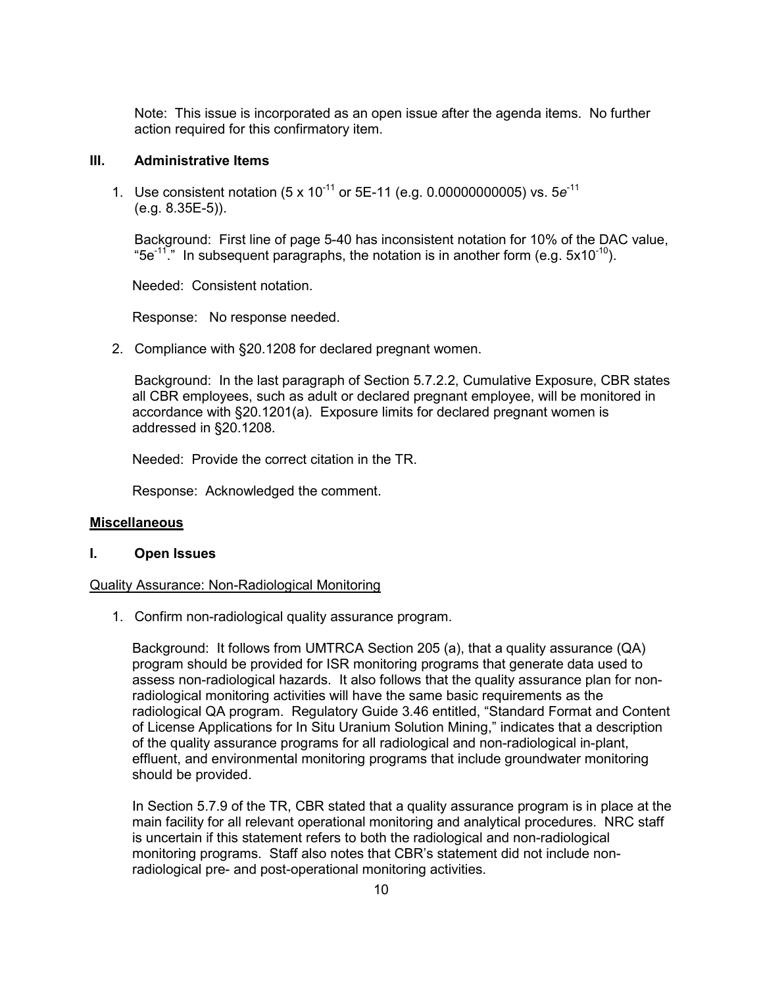Note: This issue is incorporated as an open issue after the agenda items. No further action required for this confirmatory item.

#### **III. Administrative Items**

1. Use consistent notation (5 x 10-11 or 5E-11 (e.g. 0.00000000005) vs. 5*e*-11 (e.g. 8.35E-5)).

 Background: First line of page 5-40 has inconsistent notation for 10% of the DAC value, "5e<sup>-11"</sup>. In subsequent paragraphs, the notation is in another form (e.g.  $5x10^{-10}$ ).

Needed: Consistent notation.

Response: No response needed.

2. Compliance with §20.1208 for declared pregnant women.

 Background: In the last paragraph of Section 5.7.2.2, Cumulative Exposure, CBR states all CBR employees, such as adult or declared pregnant employee, will be monitored in accordance with §20.1201(a). Exposure limits for declared pregnant women is addressed in §20.1208.

Needed: Provide the correct citation in the TR.

Response: Acknowledged the comment.

#### **Miscellaneous**

#### **I. Open Issues**

#### Quality Assurance: Non-Radiological Monitoring

1. Confirm non-radiological quality assurance program.

Background: It follows from UMTRCA Section 205 (a), that a quality assurance (QA) program should be provided for ISR monitoring programs that generate data used to assess non-radiological hazards. It also follows that the quality assurance plan for nonradiological monitoring activities will have the same basic requirements as the radiological QA program. Regulatory Guide 3.46 entitled, "Standard Format and Content of License Applications for In Situ Uranium Solution Mining," indicates that a description of the quality assurance programs for all radiological and non-radiological in-plant, effluent, and environmental monitoring programs that include groundwater monitoring should be provided.

In Section 5.7.9 of the TR, CBR stated that a quality assurance program is in place at the main facility for all relevant operational monitoring and analytical procedures. NRC staff is uncertain if this statement refers to both the radiological and non-radiological monitoring programs. Staff also notes that CBR's statement did not include nonradiological pre- and post-operational monitoring activities.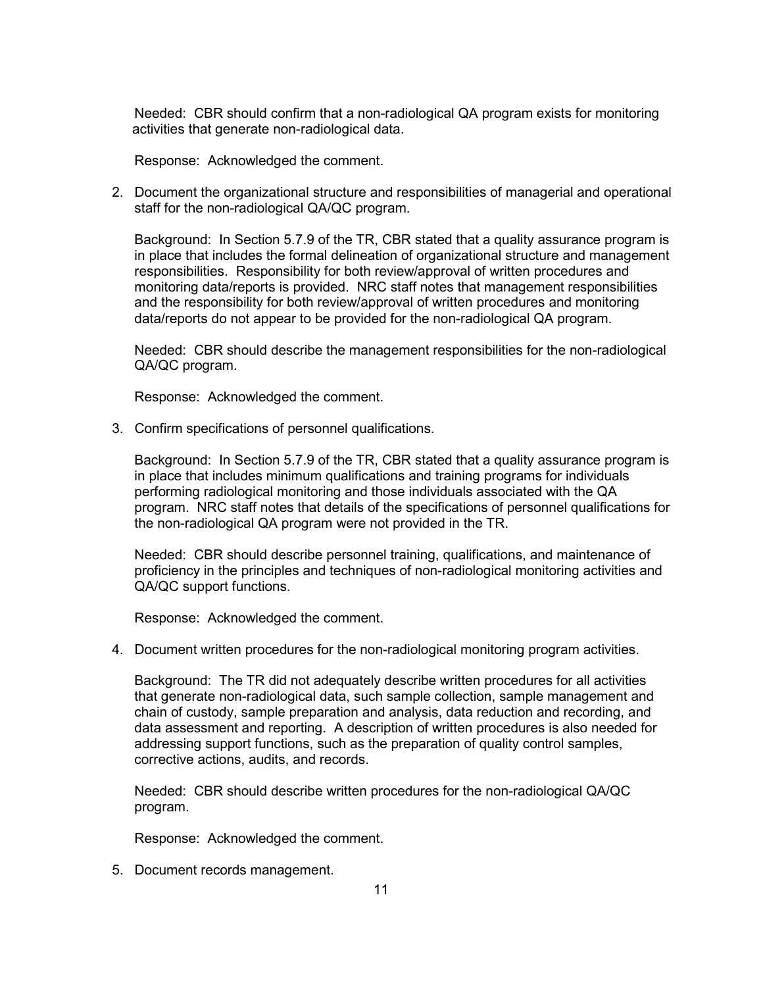Needed: CBR should confirm that a non-radiological QA program exists for monitoring activities that generate non-radiological data.

Response: Acknowledged the comment.

2. Document the organizational structure and responsibilities of managerial and operational staff for the non-radiological QA/QC program.

Background: In Section 5.7.9 of the TR, CBR stated that a quality assurance program is in place that includes the formal delineation of organizational structure and management responsibilities. Responsibility for both review/approval of written procedures and monitoring data/reports is provided. NRC staff notes that management responsibilities and the responsibility for both review/approval of written procedures and monitoring data/reports do not appear to be provided for the non-radiological QA program.

Needed: CBR should describe the management responsibilities for the non-radiological QA/QC program.

Response: Acknowledged the comment.

3. Confirm specifications of personnel qualifications.

Background: In Section 5.7.9 of the TR, CBR stated that a quality assurance program is in place that includes minimum qualifications and training programs for individuals performing radiological monitoring and those individuals associated with the QA program. NRC staff notes that details of the specifications of personnel qualifications for the non-radiological QA program were not provided in the TR.

Needed: CBR should describe personnel training, qualifications, and maintenance of proficiency in the principles and techniques of non-radiological monitoring activities and QA/QC support functions.

Response: Acknowledged the comment.

4. Document written procedures for the non-radiological monitoring program activities.

Background: The TR did not adequately describe written procedures for all activities that generate non-radiological data, such sample collection, sample management and chain of custody, sample preparation and analysis, data reduction and recording, and data assessment and reporting. A description of written procedures is also needed for addressing support functions, such as the preparation of quality control samples, corrective actions, audits, and records.

Needed: CBR should describe written procedures for the non-radiological QA/QC program.

Response: Acknowledged the comment.

5. Document records management.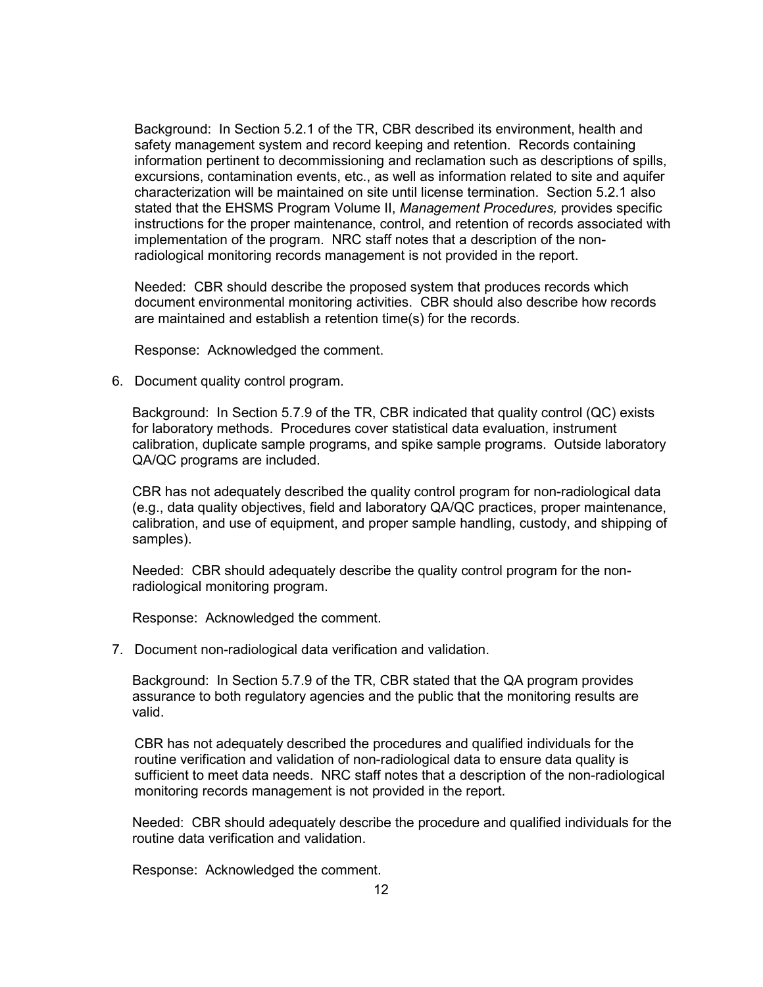Background: In Section 5.2.1 of the TR, CBR described its environment, health and safety management system and record keeping and retention. Records containing information pertinent to decommissioning and reclamation such as descriptions of spills, excursions, contamination events, etc., as well as information related to site and aquifer characterization will be maintained on site until license termination. Section 5.2.1 also stated that the EHSMS Program Volume II, *Management Procedures,* provides specific instructions for the proper maintenance, control, and retention of records associated with implementation of the program. NRC staff notes that a description of the nonradiological monitoring records management is not provided in the report.

Needed: CBR should describe the proposed system that produces records which document environmental monitoring activities. CBR should also describe how records are maintained and establish a retention time(s) for the records.

Response: Acknowledged the comment.

6. Document quality control program.

Background: In Section 5.7.9 of the TR, CBR indicated that quality control (QC) exists for laboratory methods. Procedures cover statistical data evaluation, instrument calibration, duplicate sample programs, and spike sample programs. Outside laboratory QA/QC programs are included.

CBR has not adequately described the quality control program for non-radiological data (e.g., data quality objectives, field and laboratory QA/QC practices, proper maintenance, calibration, and use of equipment, and proper sample handling, custody, and shipping of samples).

Needed: CBR should adequately describe the quality control program for the nonradiological monitoring program.

Response: Acknowledged the comment.

7. Document non-radiological data verification and validation.

Background: In Section 5.7.9 of the TR, CBR stated that the QA program provides assurance to both regulatory agencies and the public that the monitoring results are valid.

CBR has not adequately described the procedures and qualified individuals for the routine verification and validation of non-radiological data to ensure data quality is sufficient to meet data needs. NRC staff notes that a description of the non-radiological monitoring records management is not provided in the report.

Needed: CBR should adequately describe the procedure and qualified individuals for the routine data verification and validation.

Response: Acknowledged the comment.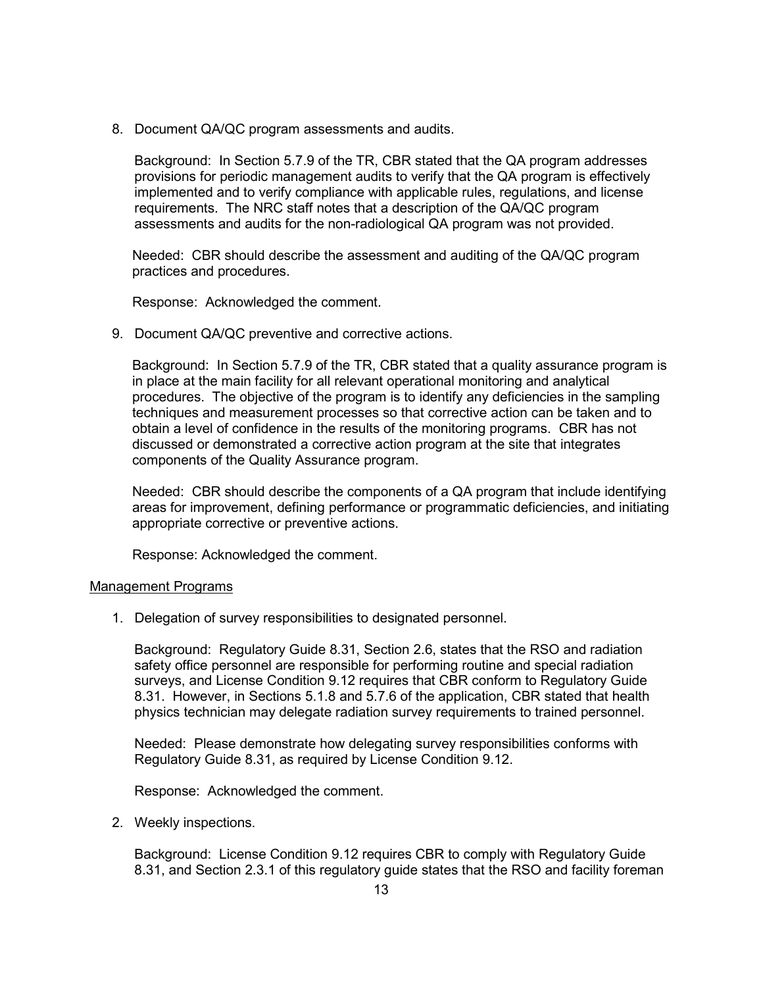8. Document QA/QC program assessments and audits.

Background: In Section 5.7.9 of the TR, CBR stated that the QA program addresses provisions for periodic management audits to verify that the QA program is effectively implemented and to verify compliance with applicable rules, regulations, and license requirements. The NRC staff notes that a description of the QA/QC program assessments and audits for the non-radiological QA program was not provided.

Needed: CBR should describe the assessment and auditing of the QA/QC program practices and procedures.

Response: Acknowledged the comment.

9. Document QA/QC preventive and corrective actions.

Background: In Section 5.7.9 of the TR, CBR stated that a quality assurance program is in place at the main facility for all relevant operational monitoring and analytical procedures. The objective of the program is to identify any deficiencies in the sampling techniques and measurement processes so that corrective action can be taken and to obtain a level of confidence in the results of the monitoring programs. CBR has not discussed or demonstrated a corrective action program at the site that integrates components of the Quality Assurance program.

Needed: CBR should describe the components of a QA program that include identifying areas for improvement, defining performance or programmatic deficiencies, and initiating appropriate corrective or preventive actions.

Response: Acknowledged the comment.

#### Management Programs

1. Delegation of survey responsibilities to designated personnel.

Background: Regulatory Guide 8.31, Section 2.6, states that the RSO and radiation safety office personnel are responsible for performing routine and special radiation surveys, and License Condition 9.12 requires that CBR conform to Regulatory Guide 8.31. However, in Sections 5.1.8 and 5.7.6 of the application, CBR stated that health physics technician may delegate radiation survey requirements to trained personnel.

Needed: Please demonstrate how delegating survey responsibilities conforms with Regulatory Guide 8.31, as required by License Condition 9.12.

Response: Acknowledged the comment.

2. Weekly inspections.

Background: License Condition 9.12 requires CBR to comply with Regulatory Guide 8.31, and Section 2.3.1 of this regulatory guide states that the RSO and facility foreman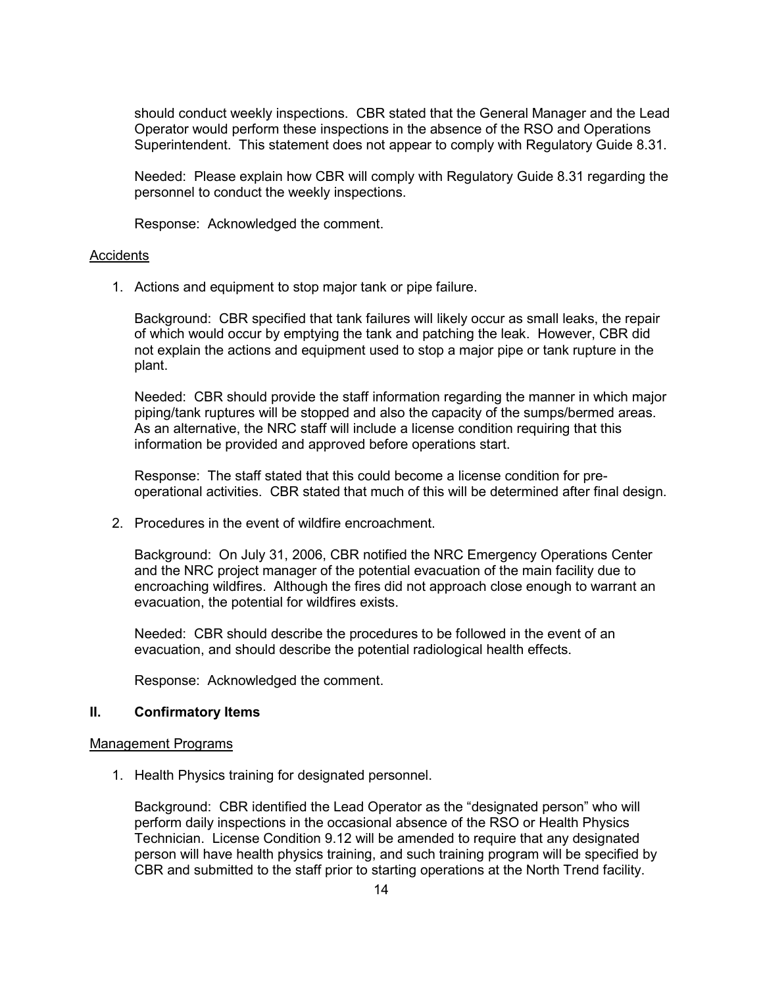should conduct weekly inspections. CBR stated that the General Manager and the Lead Operator would perform these inspections in the absence of the RSO and Operations Superintendent. This statement does not appear to comply with Regulatory Guide 8.31.

Needed: Please explain how CBR will comply with Regulatory Guide 8.31 regarding the personnel to conduct the weekly inspections.

Response: Acknowledged the comment.

#### **Accidents**

1. Actions and equipment to stop major tank or pipe failure.

Background: CBR specified that tank failures will likely occur as small leaks, the repair of which would occur by emptying the tank and patching the leak. However, CBR did not explain the actions and equipment used to stop a major pipe or tank rupture in the plant.

Needed: CBR should provide the staff information regarding the manner in which major piping/tank ruptures will be stopped and also the capacity of the sumps/bermed areas. As an alternative, the NRC staff will include a license condition requiring that this information be provided and approved before operations start.

Response: The staff stated that this could become a license condition for preoperational activities. CBR stated that much of this will be determined after final design.

2. Procedures in the event of wildfire encroachment.

Background: On July 31, 2006, CBR notified the NRC Emergency Operations Center and the NRC project manager of the potential evacuation of the main facility due to encroaching wildfires. Although the fires did not approach close enough to warrant an evacuation, the potential for wildfires exists.

Needed: CBR should describe the procedures to be followed in the event of an evacuation, and should describe the potential radiological health effects.

Response: Acknowledged the comment.

#### **II. Confirmatory Items**

#### Management Programs

1. Health Physics training for designated personnel.

Background: CBR identified the Lead Operator as the "designated person" who will perform daily inspections in the occasional absence of the RSO or Health Physics Technician. License Condition 9.12 will be amended to require that any designated person will have health physics training, and such training program will be specified by CBR and submitted to the staff prior to starting operations at the North Trend facility.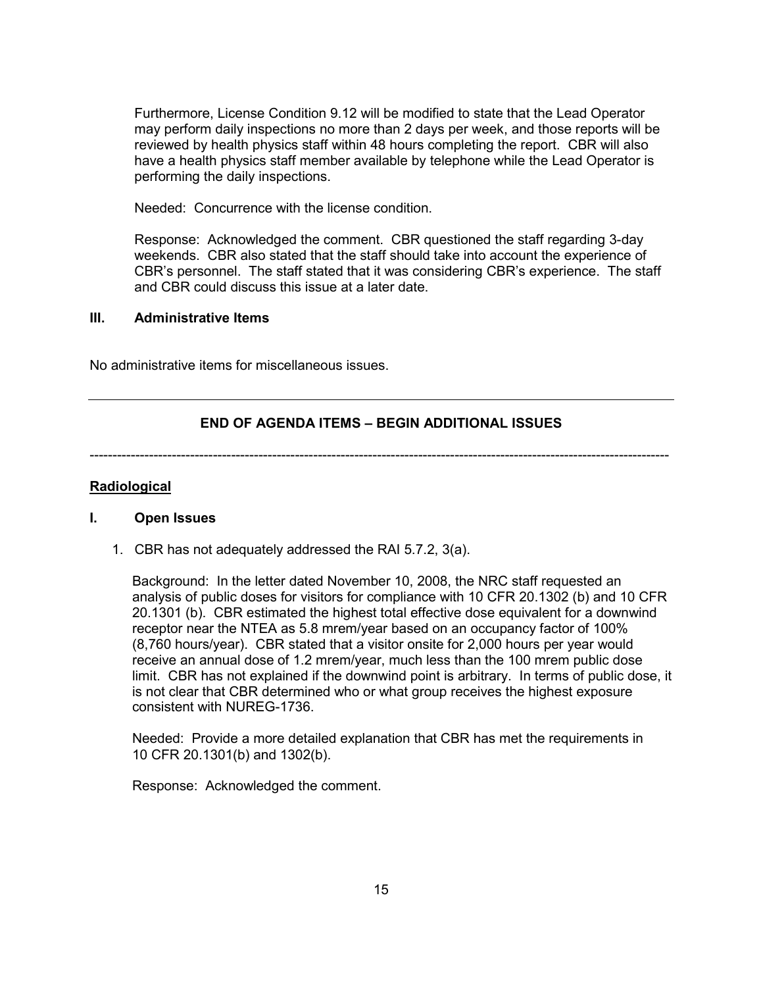Furthermore, License Condition 9.12 will be modified to state that the Lead Operator may perform daily inspections no more than 2 days per week, and those reports will be reviewed by health physics staff within 48 hours completing the report. CBR will also have a health physics staff member available by telephone while the Lead Operator is performing the daily inspections.

Needed: Concurrence with the license condition.

Response: Acknowledged the comment. CBR questioned the staff regarding 3-day weekends. CBR also stated that the staff should take into account the experience of CBR's personnel. The staff stated that it was considering CBR's experience. The staff and CBR could discuss this issue at a later date.

#### **III. Administrative Items**

No administrative items for miscellaneous issues.

### **END OF AGENDA ITEMS – BEGIN ADDITIONAL ISSUES**

-------------------------------------------------------------------------------------------------------------------------------

#### **Radiological**

#### **I. Open Issues**

1. CBR has not adequately addressed the RAI 5.7.2, 3(a).

Background: In the letter dated November 10, 2008, the NRC staff requested an analysis of public doses for visitors for compliance with 10 CFR 20.1302 (b) and 10 CFR 20.1301 (b). CBR estimated the highest total effective dose equivalent for a downwind receptor near the NTEA as 5.8 mrem/year based on an occupancy factor of 100% (8,760 hours/year). CBR stated that a visitor onsite for 2,000 hours per year would receive an annual dose of 1.2 mrem/year, much less than the 100 mrem public dose limit. CBR has not explained if the downwind point is arbitrary. In terms of public dose, it is not clear that CBR determined who or what group receives the highest exposure consistent with NUREG-1736.

Needed: Provide a more detailed explanation that CBR has met the requirements in 10 CFR 20.1301(b) and 1302(b).

Response: Acknowledged the comment.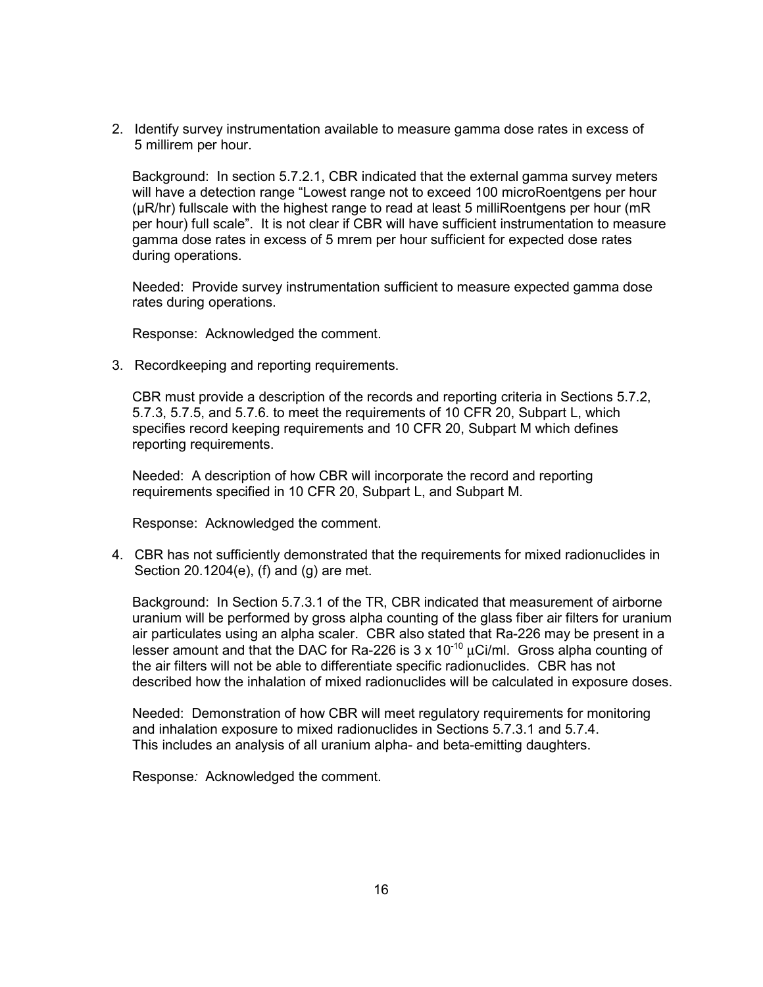2. Identify survey instrumentation available to measure gamma dose rates in excess of 5 millirem per hour.

Background: In section 5.7.2.1, CBR indicated that the external gamma survey meters will have a detection range "Lowest range not to exceed 100 microRoentgens per hour (µR/hr) fullscale with the highest range to read at least 5 milliRoentgens per hour (mR per hour) full scale". It is not clear if CBR will have sufficient instrumentation to measure gamma dose rates in excess of 5 mrem per hour sufficient for expected dose rates during operations.

Needed: Provide survey instrumentation sufficient to measure expected gamma dose rates during operations.

Response: Acknowledged the comment.

3. Recordkeeping and reporting requirements.

CBR must provide a description of the records and reporting criteria in Sections 5.7.2, 5.7.3, 5.7.5, and 5.7.6. to meet the requirements of 10 CFR 20, Subpart L, which specifies record keeping requirements and 10 CFR 20, Subpart M which defines reporting requirements.

Needed: A description of how CBR will incorporate the record and reporting requirements specified in 10 CFR 20, Subpart L, and Subpart M.

Response: Acknowledged the comment.

4. CBR has not sufficiently demonstrated that the requirements for mixed radionuclides in Section 20.1204(e), (f) and (g) are met.

Background: In Section 5.7.3.1 of the TR, CBR indicated that measurement of airborne uranium will be performed by gross alpha counting of the glass fiber air filters for uranium air particulates using an alpha scaler. CBR also stated that Ra-226 may be present in a lesser amount and that the DAC for Ra-226 is  $3 \times 10^{-10}$   $\mu$ Ci/ml. Gross alpha counting of the air filters will not be able to differentiate specific radionuclides. CBR has not described how the inhalation of mixed radionuclides will be calculated in exposure doses.

Needed: Demonstration of how CBR will meet regulatory requirements for monitoring and inhalation exposure to mixed radionuclides in Sections 5.7.3.1 and 5.7.4. This includes an analysis of all uranium alpha- and beta-emitting daughters.

Response*:* Acknowledged the comment.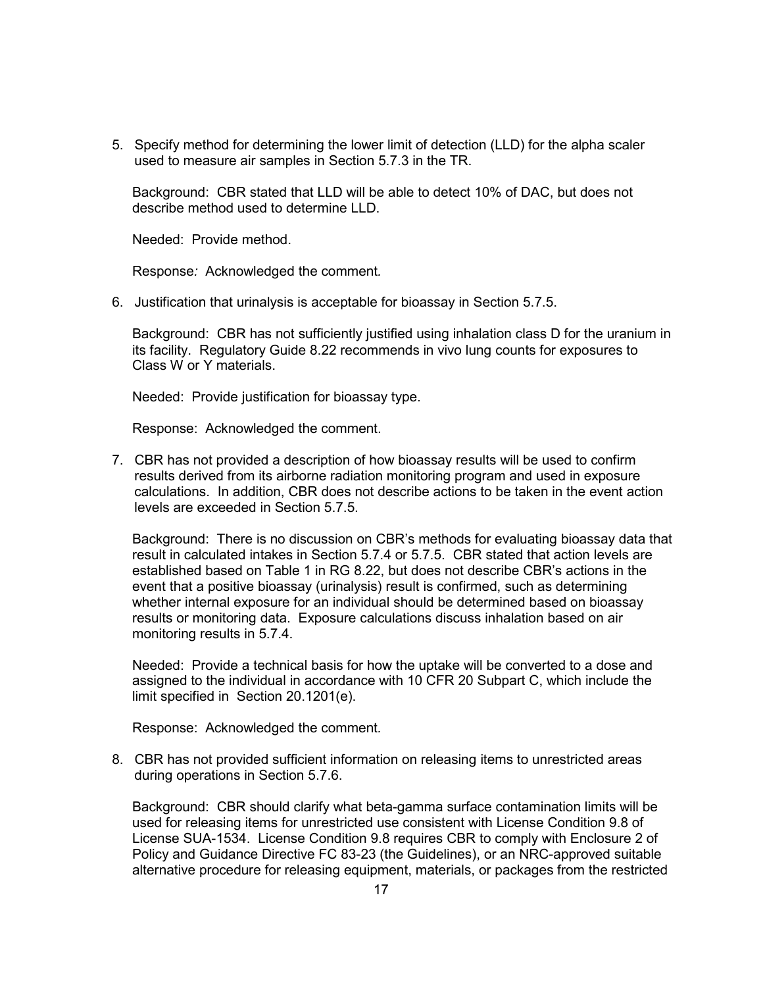5. Specify method for determining the lower limit of detection (LLD) for the alpha scaler used to measure air samples in Section 5.7.3 in the TR.

Background: CBR stated that LLD will be able to detect 10% of DAC, but does not describe method used to determine LLD.

Needed: Provide method.

Response*:* Acknowledged the comment*.*

6. Justification that urinalysis is acceptable for bioassay in Section 5.7.5.

Background: CBR has not sufficiently justified using inhalation class D for the uranium in its facility. Regulatory Guide 8.22 recommends in vivo lung counts for exposures to Class W or Y materials.

Needed: Provide justification for bioassay type.

Response: Acknowledged the comment.

7. CBR has not provided a description of how bioassay results will be used to confirm results derived from its airborne radiation monitoring program and used in exposure calculations. In addition, CBR does not describe actions to be taken in the event action levels are exceeded in Section 5.7.5.

Background: There is no discussion on CBR's methods for evaluating bioassay data that result in calculated intakes in Section 5.7.4 or 5.7.5. CBR stated that action levels are established based on Table 1 in RG 8.22, but does not describe CBR's actions in the event that a positive bioassay (urinalysis) result is confirmed, such as determining whether internal exposure for an individual should be determined based on bioassay results or monitoring data. Exposure calculations discuss inhalation based on air monitoring results in 5.7.4.

Needed: Provide a technical basis for how the uptake will be converted to a dose and assigned to the individual in accordance with 10 CFR 20 Subpart C, which include the limit specified in Section 20.1201(e).

Response: Acknowledged the comment*.*

8. CBR has not provided sufficient information on releasing items to unrestricted areas during operations in Section 5.7.6.

Background: CBR should clarify what beta-gamma surface contamination limits will be used for releasing items for unrestricted use consistent with License Condition 9.8 of License SUA-1534. License Condition 9.8 requires CBR to comply with Enclosure 2 of Policy and Guidance Directive FC 83-23 (the Guidelines), or an NRC-approved suitable alternative procedure for releasing equipment, materials, or packages from the restricted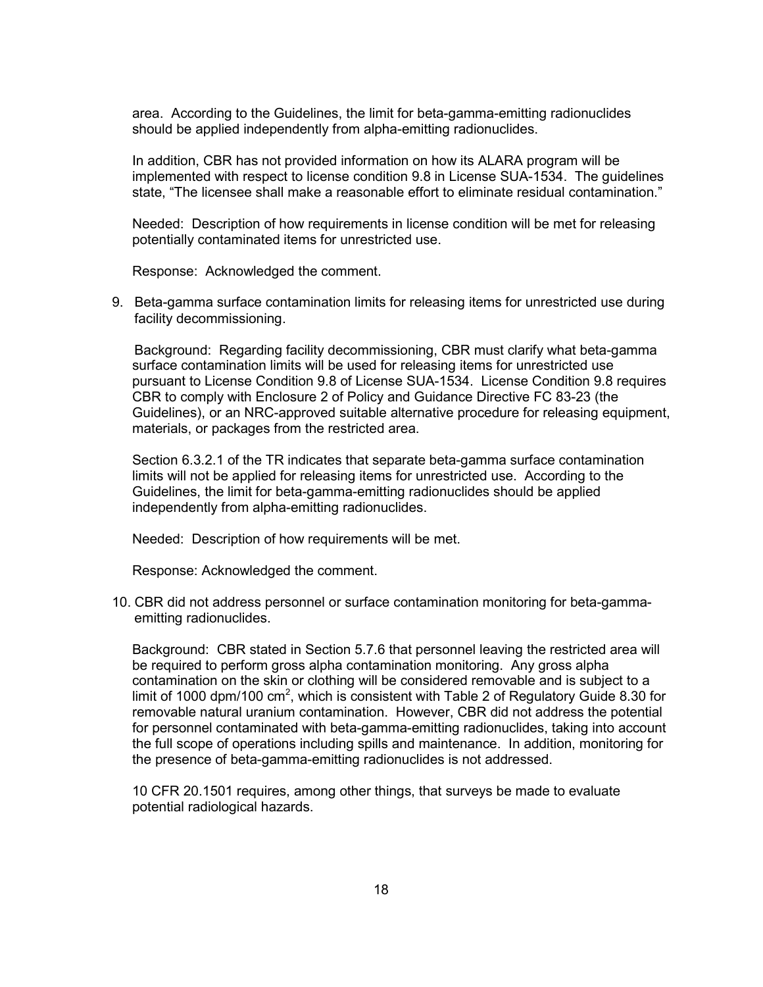area. According to the Guidelines, the limit for beta-gamma-emitting radionuclides should be applied independently from alpha-emitting radionuclides.

In addition, CBR has not provided information on how its ALARA program will be implemented with respect to license condition 9.8 in License SUA-1534. The guidelines state, "The licensee shall make a reasonable effort to eliminate residual contamination."

Needed: Description of how requirements in license condition will be met for releasing potentially contaminated items for unrestricted use.

Response: Acknowledged the comment.

9. Beta-gamma surface contamination limits for releasing items for unrestricted use during facility decommissioning.

 Background: Regarding facility decommissioning, CBR must clarify what beta-gamma surface contamination limits will be used for releasing items for unrestricted use pursuant to License Condition 9.8 of License SUA-1534. License Condition 9.8 requires CBR to comply with Enclosure 2 of Policy and Guidance Directive FC 83-23 (the Guidelines), or an NRC-approved suitable alternative procedure for releasing equipment, materials, or packages from the restricted area.

Section 6.3.2.1 of the TR indicates that separate beta-gamma surface contamination limits will not be applied for releasing items for unrestricted use. According to the Guidelines, the limit for beta-gamma-emitting radionuclides should be applied independently from alpha-emitting radionuclides.

Needed: Description of how requirements will be met.

Response: Acknowledged the comment.

10. CBR did not address personnel or surface contamination monitoring for beta-gammaemitting radionuclides.

Background: CBR stated in Section 5.7.6 that personnel leaving the restricted area will be required to perform gross alpha contamination monitoring. Any gross alpha contamination on the skin or clothing will be considered removable and is subject to a limit of 1000 dpm/100 cm<sup>2</sup>, which is consistent with Table 2 of Regulatory Guide 8.30 for removable natural uranium contamination. However, CBR did not address the potential for personnel contaminated with beta-gamma-emitting radionuclides, taking into account the full scope of operations including spills and maintenance. In addition, monitoring for the presence of beta-gamma-emitting radionuclides is not addressed.

10 CFR 20.1501 requires, among other things, that surveys be made to evaluate potential radiological hazards.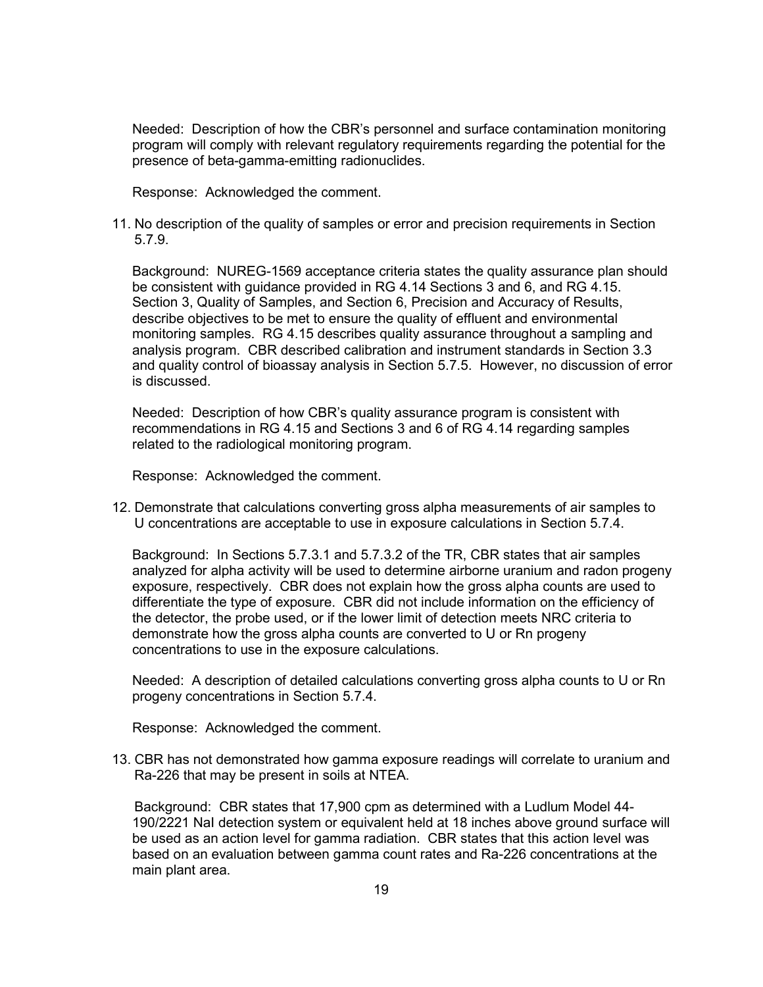Needed: Description of how the CBR's personnel and surface contamination monitoring program will comply with relevant regulatory requirements regarding the potential for the presence of beta-gamma-emitting radionuclides.

Response: Acknowledged the comment.

11. No description of the quality of samples or error and precision requirements in Section 5.7.9.

Background: NUREG-1569 acceptance criteria states the quality assurance plan should be consistent with guidance provided in RG 4.14 Sections 3 and 6, and RG 4.15. Section 3, Quality of Samples, and Section 6, Precision and Accuracy of Results, describe objectives to be met to ensure the quality of effluent and environmental monitoring samples. RG 4.15 describes quality assurance throughout a sampling and analysis program. CBR described calibration and instrument standards in Section 3.3 and quality control of bioassay analysis in Section 5.7.5. However, no discussion of error is discussed.

Needed: Description of how CBR's quality assurance program is consistent with recommendations in RG 4.15 and Sections 3 and 6 of RG 4.14 regarding samples related to the radiological monitoring program.

Response: Acknowledged the comment.

12. Demonstrate that calculations converting gross alpha measurements of air samples to U concentrations are acceptable to use in exposure calculations in Section 5.7.4.

Background: In Sections 5.7.3.1 and 5.7.3.2 of the TR, CBR states that air samples analyzed for alpha activity will be used to determine airborne uranium and radon progeny exposure, respectively. CBR does not explain how the gross alpha counts are used to differentiate the type of exposure. CBR did not include information on the efficiency of the detector, the probe used, or if the lower limit of detection meets NRC criteria to demonstrate how the gross alpha counts are converted to U or Rn progeny concentrations to use in the exposure calculations.

Needed: A description of detailed calculations converting gross alpha counts to U or Rn progeny concentrations in Section 5.7.4.

Response: Acknowledged the comment.

13. CBR has not demonstrated how gamma exposure readings will correlate to uranium and Ra-226 that may be present in soils at NTEA.

 Background: CBR states that 17,900 cpm as determined with a Ludlum Model 44- 190/2221 NaI detection system or equivalent held at 18 inches above ground surface will be used as an action level for gamma radiation. CBR states that this action level was based on an evaluation between gamma count rates and Ra-226 concentrations at the main plant area.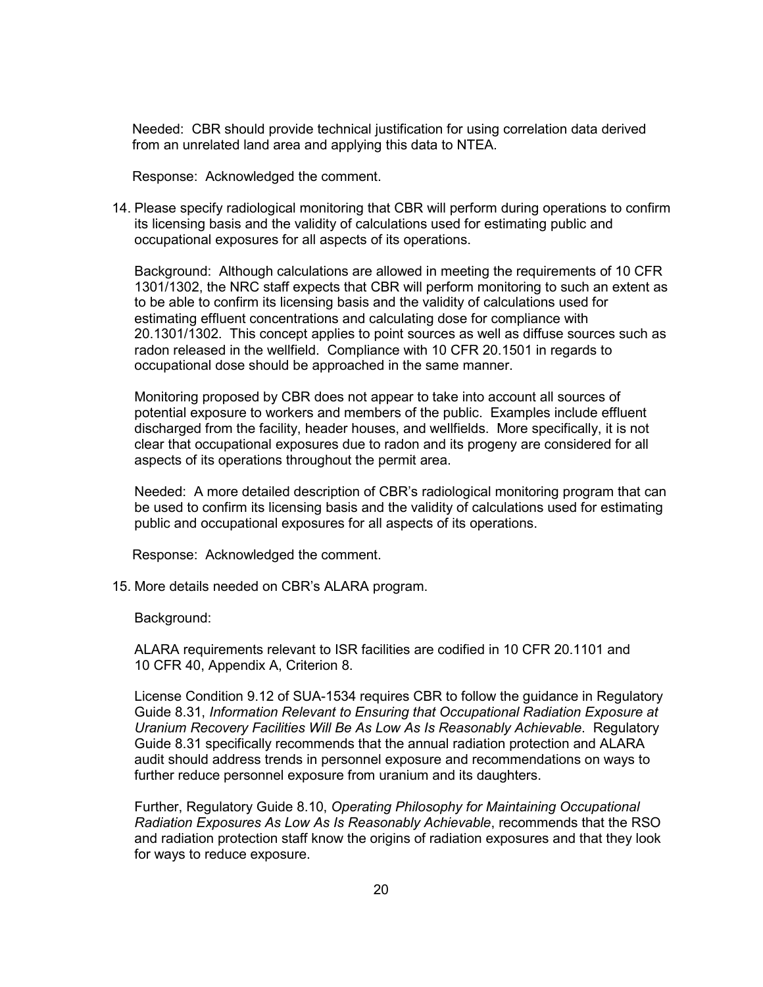Needed: CBR should provide technical justification for using correlation data derived from an unrelated land area and applying this data to NTEA.

Response: Acknowledged the comment.

14. Please specify radiological monitoring that CBR will perform during operations to confirm its licensing basis and the validity of calculations used for estimating public and occupational exposures for all aspects of its operations.

Background: Although calculations are allowed in meeting the requirements of 10 CFR 1301/1302, the NRC staff expects that CBR will perform monitoring to such an extent as to be able to confirm its licensing basis and the validity of calculations used for estimating effluent concentrations and calculating dose for compliance with 20.1301/1302. This concept applies to point sources as well as diffuse sources such as radon released in the wellfield. Compliance with 10 CFR 20.1501 in regards to occupational dose should be approached in the same manner.

Monitoring proposed by CBR does not appear to take into account all sources of potential exposure to workers and members of the public. Examples include effluent discharged from the facility, header houses, and wellfields. More specifically, it is not clear that occupational exposures due to radon and its progeny are considered for all aspects of its operations throughout the permit area.

Needed: A more detailed description of CBR's radiological monitoring program that can be used to confirm its licensing basis and the validity of calculations used for estimating public and occupational exposures for all aspects of its operations.

Response: Acknowledged the comment.

15. More details needed on CBR's ALARA program.

Background:

ALARA requirements relevant to ISR facilities are codified in 10 CFR 20.1101 and 10 CFR 40, Appendix A, Criterion 8.

License Condition 9.12 of SUA-1534 requires CBR to follow the guidance in Regulatory Guide 8.31, *Information Relevant to Ensuring that Occupational Radiation Exposure at Uranium Recovery Facilities Will Be As Low As Is Reasonably Achievable*. Regulatory Guide 8.31 specifically recommends that the annual radiation protection and ALARA audit should address trends in personnel exposure and recommendations on ways to further reduce personnel exposure from uranium and its daughters.

Further, Regulatory Guide 8.10, *Operating Philosophy for Maintaining Occupational Radiation Exposures As Low As Is Reasonably Achievable*, recommends that the RSO and radiation protection staff know the origins of radiation exposures and that they look for ways to reduce exposure.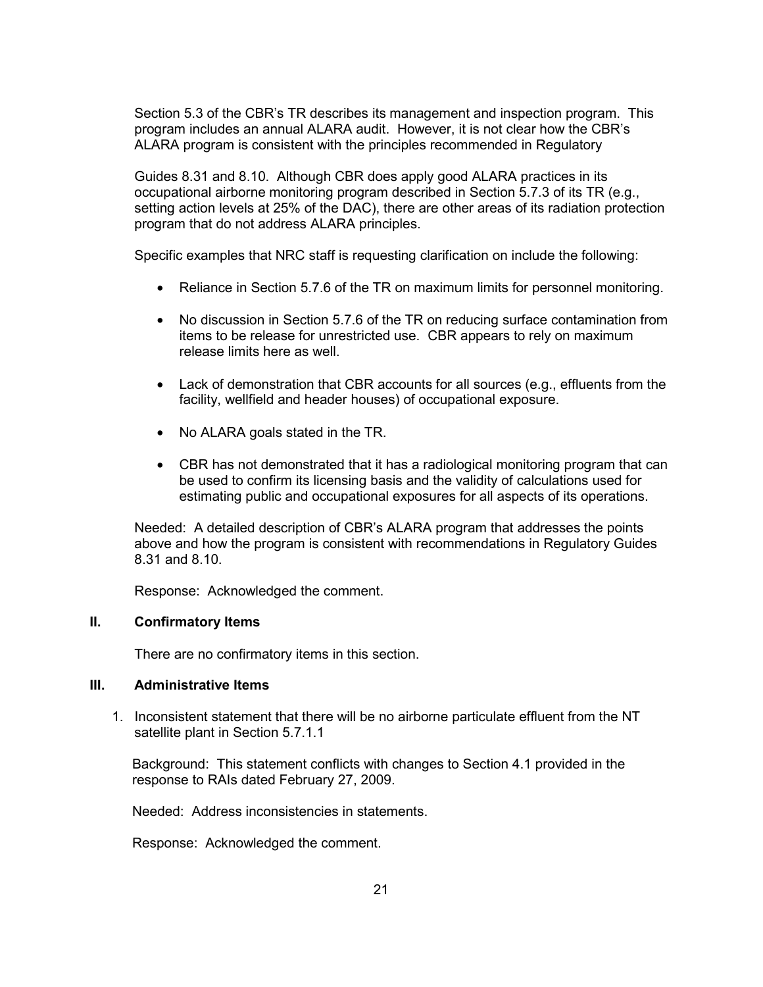Section 5.3 of the CBR's TR describes its management and inspection program. This program includes an annual ALARA audit. However, it is not clear how the CBR's ALARA program is consistent with the principles recommended in Regulatory

Guides 8.31 and 8.10. Although CBR does apply good ALARA practices in its occupational airborne monitoring program described in Section 5.7.3 of its TR (e.g., setting action levels at 25% of the DAC), there are other areas of its radiation protection program that do not address ALARA principles.

Specific examples that NRC staff is requesting clarification on include the following:

- Reliance in Section 5.7.6 of the TR on maximum limits for personnel monitoring.
- No discussion in Section 5.7.6 of the TR on reducing surface contamination from items to be release for unrestricted use. CBR appears to rely on maximum release limits here as well.
- Lack of demonstration that CBR accounts for all sources (e.g., effluents from the facility, wellfield and header houses) of occupational exposure.
- No ALARA goals stated in the TR.
- CBR has not demonstrated that it has a radiological monitoring program that can be used to confirm its licensing basis and the validity of calculations used for estimating public and occupational exposures for all aspects of its operations.

Needed: A detailed description of CBR's ALARA program that addresses the points above and how the program is consistent with recommendations in Regulatory Guides 8.31 and 8.10.

Response: Acknowledged the comment.

#### **II. Confirmatory Items**

There are no confirmatory items in this section.

#### **III. Administrative Items**

1. Inconsistent statement that there will be no airborne particulate effluent from the NT satellite plant in Section 5.7.1.1

Background: This statement conflicts with changes to Section 4.1 provided in the response to RAIs dated February 27, 2009.

Needed: Address inconsistencies in statements.

Response: Acknowledged the comment.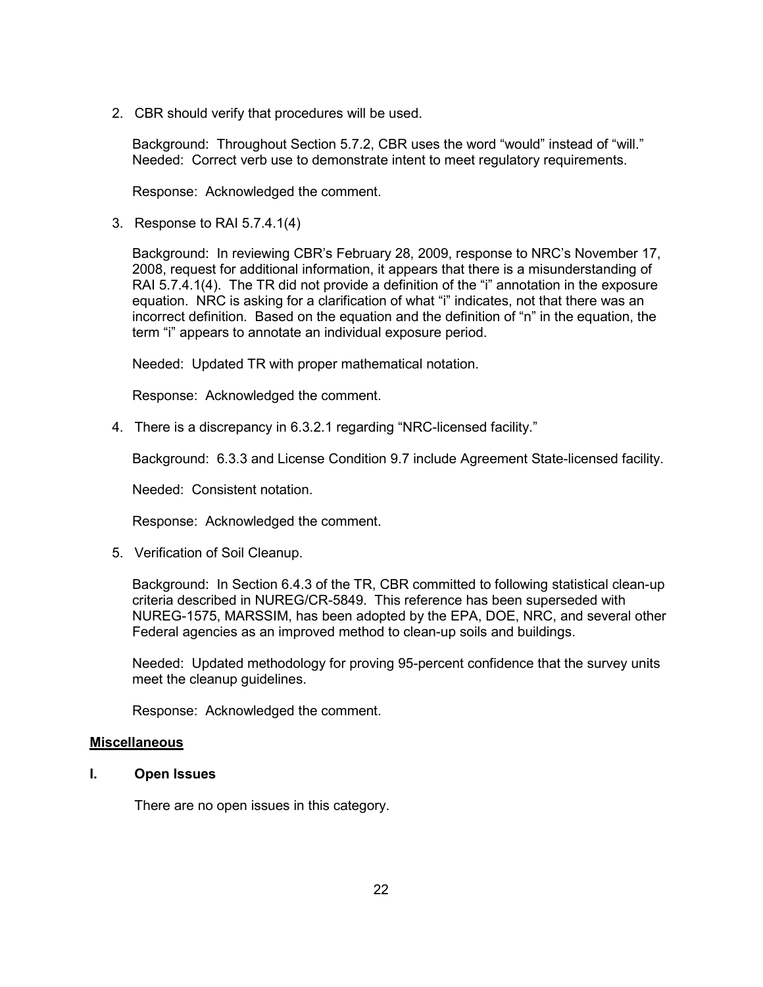2. CBR should verify that procedures will be used.

Background: Throughout Section 5.7.2, CBR uses the word "would" instead of "will." Needed: Correct verb use to demonstrate intent to meet regulatory requirements.

Response: Acknowledged the comment.

3. Response to RAI 5.7.4.1(4)

Background: In reviewing CBR's February 28, 2009, response to NRC's November 17, 2008, request for additional information, it appears that there is a misunderstanding of RAI 5.7.4.1(4). The TR did not provide a definition of the "i" annotation in the exposure equation. NRC is asking for a clarification of what "i" indicates, not that there was an incorrect definition. Based on the equation and the definition of "n" in the equation, the term "i" appears to annotate an individual exposure period.

Needed: Updated TR with proper mathematical notation.

Response: Acknowledged the comment.

4. There is a discrepancy in 6.3.2.1 regarding "NRC-licensed facility."

Background: 6.3.3 and License Condition 9.7 include Agreement State-licensed facility.

Needed: Consistent notation.

Response: Acknowledged the comment.

5. Verification of Soil Cleanup.

Background: In Section 6.4.3 of the TR, CBR committed to following statistical clean-up criteria described in NUREG/CR-5849. This reference has been superseded with NUREG-1575, MARSSIM, has been adopted by the EPA, DOE, NRC, and several other Federal agencies as an improved method to clean-up soils and buildings.

Needed: Updated methodology for proving 95-percent confidence that the survey units meet the cleanup guidelines.

Response: Acknowledged the comment.

#### **Miscellaneous**

**I. Open Issues** 

There are no open issues in this category.